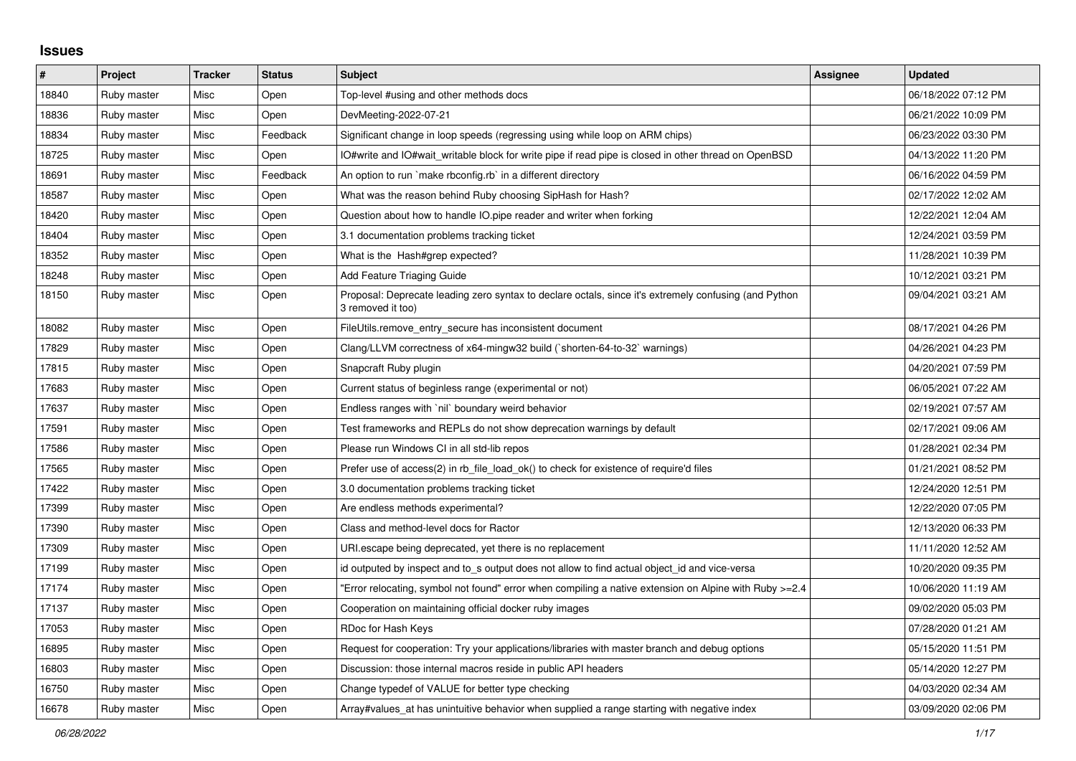## **Issues**

| $\pmb{\#}$ | Project     | <b>Tracker</b> | <b>Status</b> | <b>Subject</b>                                                                                                             | Assignee | <b>Updated</b>      |
|------------|-------------|----------------|---------------|----------------------------------------------------------------------------------------------------------------------------|----------|---------------------|
| 18840      | Ruby master | Misc           | Open          | Top-level #using and other methods docs                                                                                    |          | 06/18/2022 07:12 PM |
| 18836      | Ruby master | Misc           | Open          | DevMeeting-2022-07-21                                                                                                      |          | 06/21/2022 10:09 PM |
| 18834      | Ruby master | Misc           | Feedback      | Significant change in loop speeds (regressing using while loop on ARM chips)                                               |          | 06/23/2022 03:30 PM |
| 18725      | Ruby master | Misc           | Open          | IO#write and IO#wait_writable block for write pipe if read pipe is closed in other thread on OpenBSD                       |          | 04/13/2022 11:20 PM |
| 18691      | Ruby master | Misc           | Feedback      | An option to run `make rbconfig.rb` in a different directory                                                               |          | 06/16/2022 04:59 PM |
| 18587      | Ruby master | Misc           | Open          | What was the reason behind Ruby choosing SipHash for Hash?                                                                 |          | 02/17/2022 12:02 AM |
| 18420      | Ruby master | Misc           | Open          | Question about how to handle IO.pipe reader and writer when forking                                                        |          | 12/22/2021 12:04 AM |
| 18404      | Ruby master | Misc           | Open          | 3.1 documentation problems tracking ticket                                                                                 |          | 12/24/2021 03:59 PM |
| 18352      | Ruby master | Misc           | Open          | What is the Hash#grep expected?                                                                                            |          | 11/28/2021 10:39 PM |
| 18248      | Ruby master | Misc           | Open          | <b>Add Feature Triaging Guide</b>                                                                                          |          | 10/12/2021 03:21 PM |
| 18150      | Ruby master | Misc           | Open          | Proposal: Deprecate leading zero syntax to declare octals, since it's extremely confusing (and Python<br>3 removed it too) |          | 09/04/2021 03:21 AM |
| 18082      | Ruby master | Misc           | Open          | FileUtils.remove_entry_secure has inconsistent document                                                                    |          | 08/17/2021 04:26 PM |
| 17829      | Ruby master | Misc           | Open          | Clang/LLVM correctness of x64-mingw32 build (`shorten-64-to-32` warnings)                                                  |          | 04/26/2021 04:23 PM |
| 17815      | Ruby master | Misc           | Open          | Snapcraft Ruby plugin                                                                                                      |          | 04/20/2021 07:59 PM |
| 17683      | Ruby master | Misc           | Open          | Current status of beginless range (experimental or not)                                                                    |          | 06/05/2021 07:22 AM |
| 17637      | Ruby master | Misc           | Open          | Endless ranges with `nil` boundary weird behavior                                                                          |          | 02/19/2021 07:57 AM |
| 17591      | Ruby master | Misc           | Open          | Test frameworks and REPLs do not show deprecation warnings by default                                                      |          | 02/17/2021 09:06 AM |
| 17586      | Ruby master | Misc           | Open          | Please run Windows CI in all std-lib repos                                                                                 |          | 01/28/2021 02:34 PM |
| 17565      | Ruby master | Misc           | Open          | Prefer use of access(2) in rb_file_load_ok() to check for existence of require'd files                                     |          | 01/21/2021 08:52 PM |
| 17422      | Ruby master | Misc           | Open          | 3.0 documentation problems tracking ticket                                                                                 |          | 12/24/2020 12:51 PM |
| 17399      | Ruby master | Misc           | Open          | Are endless methods experimental?                                                                                          |          | 12/22/2020 07:05 PM |
| 17390      | Ruby master | Misc           | Open          | Class and method-level docs for Ractor                                                                                     |          | 12/13/2020 06:33 PM |
| 17309      | Ruby master | Misc           | Open          | URI escape being deprecated, yet there is no replacement                                                                   |          | 11/11/2020 12:52 AM |
| 17199      | Ruby master | Misc           | Open          | id outputed by inspect and to_s output does not allow to find actual object_id and vice-versa                              |          | 10/20/2020 09:35 PM |
| 17174      | Ruby master | Misc           | Open          | Error relocating, symbol not found" error when compiling a native extension on Alpine with Ruby >=2.4"                     |          | 10/06/2020 11:19 AM |
| 17137      | Ruby master | Misc           | Open          | Cooperation on maintaining official docker ruby images                                                                     |          | 09/02/2020 05:03 PM |
| 17053      | Ruby master | Misc           | Open          | RDoc for Hash Keys                                                                                                         |          | 07/28/2020 01:21 AM |
| 16895      | Ruby master | Misc           | Open          | Request for cooperation: Try your applications/libraries with master branch and debug options                              |          | 05/15/2020 11:51 PM |
| 16803      | Ruby master | Misc           | Open          | Discussion: those internal macros reside in public API headers                                                             |          | 05/14/2020 12:27 PM |
| 16750      | Ruby master | Misc           | Open          | Change typedef of VALUE for better type checking                                                                           |          | 04/03/2020 02:34 AM |
| 16678      | Ruby master | Misc           | Open          | Array#values at has unintuitive behavior when supplied a range starting with negative index                                |          | 03/09/2020 02:06 PM |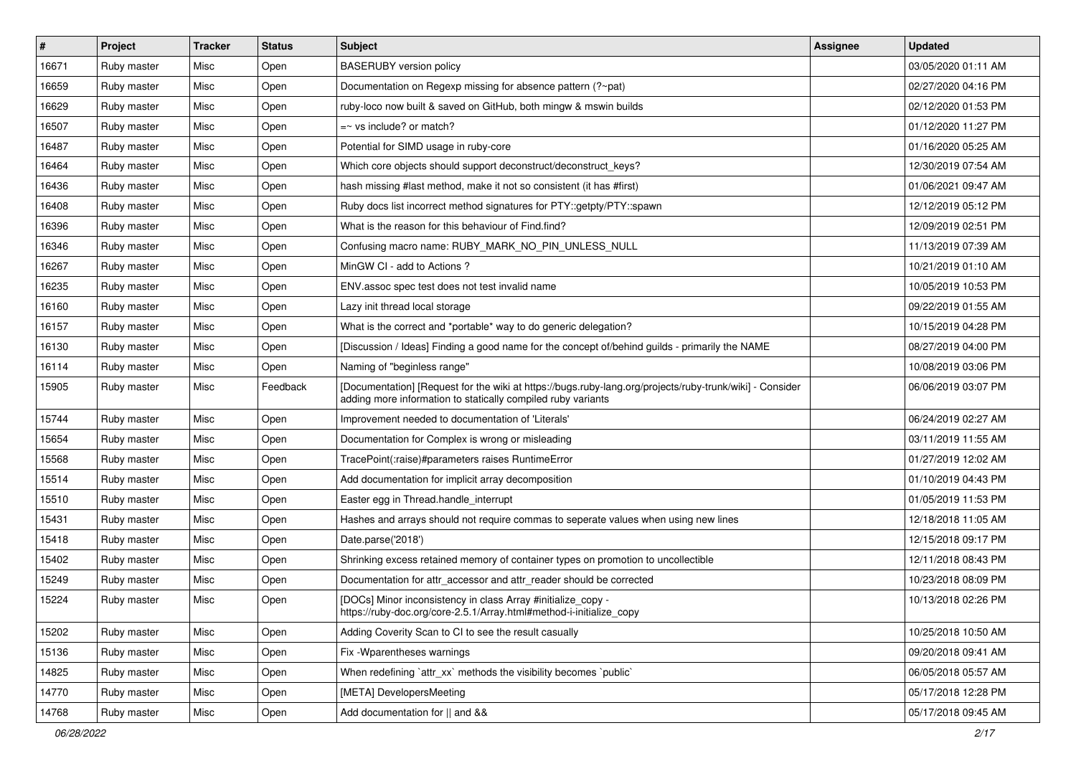| $\pmb{\#}$ | Project     | <b>Tracker</b> | <b>Status</b> | <b>Subject</b>                                                                                                                                                           | <b>Assignee</b> | <b>Updated</b>      |
|------------|-------------|----------------|---------------|--------------------------------------------------------------------------------------------------------------------------------------------------------------------------|-----------------|---------------------|
| 16671      | Ruby master | Misc           | Open          | <b>BASERUBY</b> version policy                                                                                                                                           |                 | 03/05/2020 01:11 AM |
| 16659      | Ruby master | Misc           | Open          | Documentation on Regexp missing for absence pattern (?~pat)                                                                                                              |                 | 02/27/2020 04:16 PM |
| 16629      | Ruby master | Misc           | Open          | ruby-loco now built & saved on GitHub, both mingw & mswin builds                                                                                                         |                 | 02/12/2020 01:53 PM |
| 16507      | Ruby master | Misc           | Open          | $=$ vs include? or match?                                                                                                                                                |                 | 01/12/2020 11:27 PM |
| 16487      | Ruby master | Misc           | Open          | Potential for SIMD usage in ruby-core                                                                                                                                    |                 | 01/16/2020 05:25 AM |
| 16464      | Ruby master | Misc           | Open          | Which core objects should support deconstruct/deconstruct keys?                                                                                                          |                 | 12/30/2019 07:54 AM |
| 16436      | Ruby master | Misc           | Open          | hash missing #last method, make it not so consistent (it has #first)                                                                                                     |                 | 01/06/2021 09:47 AM |
| 16408      | Ruby master | Misc           | Open          | Ruby docs list incorrect method signatures for PTY::getpty/PTY::spawn                                                                                                    |                 | 12/12/2019 05:12 PM |
| 16396      | Ruby master | Misc           | Open          | What is the reason for this behaviour of Find.find?                                                                                                                      |                 | 12/09/2019 02:51 PM |
| 16346      | Ruby master | Misc           | Open          | Confusing macro name: RUBY_MARK_NO_PIN_UNLESS_NULL                                                                                                                       |                 | 11/13/2019 07:39 AM |
| 16267      | Ruby master | Misc           | Open          | MinGW CI - add to Actions ?                                                                                                                                              |                 | 10/21/2019 01:10 AM |
| 16235      | Ruby master | Misc           | Open          | ENV assoc spec test does not test invalid name                                                                                                                           |                 | 10/05/2019 10:53 PM |
| 16160      | Ruby master | Misc           | Open          | Lazy init thread local storage                                                                                                                                           |                 | 09/22/2019 01:55 AM |
| 16157      | Ruby master | Misc           | Open          | What is the correct and *portable* way to do generic delegation?                                                                                                         |                 | 10/15/2019 04:28 PM |
| 16130      | Ruby master | Misc           | Open          | [Discussion / Ideas] Finding a good name for the concept of/behind guilds - primarily the NAME                                                                           |                 | 08/27/2019 04:00 PM |
| 16114      | Ruby master | Misc           | Open          | Naming of "beginless range"                                                                                                                                              |                 | 10/08/2019 03:06 PM |
| 15905      | Ruby master | Misc           | Feedback      | [Documentation] [Request for the wiki at https://bugs.ruby-lang.org/projects/ruby-trunk/wiki] - Consider<br>adding more information to statically compiled ruby variants |                 | 06/06/2019 03:07 PM |
| 15744      | Ruby master | Misc           | Open          | Improvement needed to documentation of 'Literals'                                                                                                                        |                 | 06/24/2019 02:27 AM |
| 15654      | Ruby master | Misc           | Open          | Documentation for Complex is wrong or misleading                                                                                                                         |                 | 03/11/2019 11:55 AM |
| 15568      | Ruby master | Misc           | Open          | TracePoint(:raise)#parameters raises RuntimeError                                                                                                                        |                 | 01/27/2019 12:02 AM |
| 15514      | Ruby master | Misc           | Open          | Add documentation for implicit array decomposition                                                                                                                       |                 | 01/10/2019 04:43 PM |
| 15510      | Ruby master | Misc           | Open          | Easter egg in Thread.handle_interrupt                                                                                                                                    |                 | 01/05/2019 11:53 PM |
| 15431      | Ruby master | Misc           | Open          | Hashes and arrays should not require commas to seperate values when using new lines                                                                                      |                 | 12/18/2018 11:05 AM |
| 15418      | Ruby master | Misc           | Open          | Date.parse('2018')                                                                                                                                                       |                 | 12/15/2018 09:17 PM |
| 15402      | Ruby master | Misc           | Open          | Shrinking excess retained memory of container types on promotion to uncollectible                                                                                        |                 | 12/11/2018 08:43 PM |
| 15249      | Ruby master | Misc           | Open          | Documentation for attr accessor and attr reader should be corrected                                                                                                      |                 | 10/23/2018 08:09 PM |
| 15224      | Ruby master | Misc           | Open          | [DOCs] Minor inconsistency in class Array #initialize copy -<br>https://ruby-doc.org/core-2.5.1/Array.html#method-i-initialize_copy                                      |                 | 10/13/2018 02:26 PM |
| 15202      | Ruby master | Misc           | Open          | Adding Coverity Scan to CI to see the result casually                                                                                                                    |                 | 10/25/2018 10:50 AM |
| 15136      | Ruby master | Misc           | Open          | Fix - Wparentheses warnings                                                                                                                                              |                 | 09/20/2018 09:41 AM |
| 14825      | Ruby master | Misc           | Open          | When redefining 'attr_xx' methods the visibility becomes 'public'                                                                                                        |                 | 06/05/2018 05:57 AM |
| 14770      | Ruby master | Misc           | Open          | [META] DevelopersMeeting                                                                                                                                                 |                 | 05/17/2018 12:28 PM |
| 14768      | Ruby master | Misc           | Open          | Add documentation for    and &&                                                                                                                                          |                 | 05/17/2018 09:45 AM |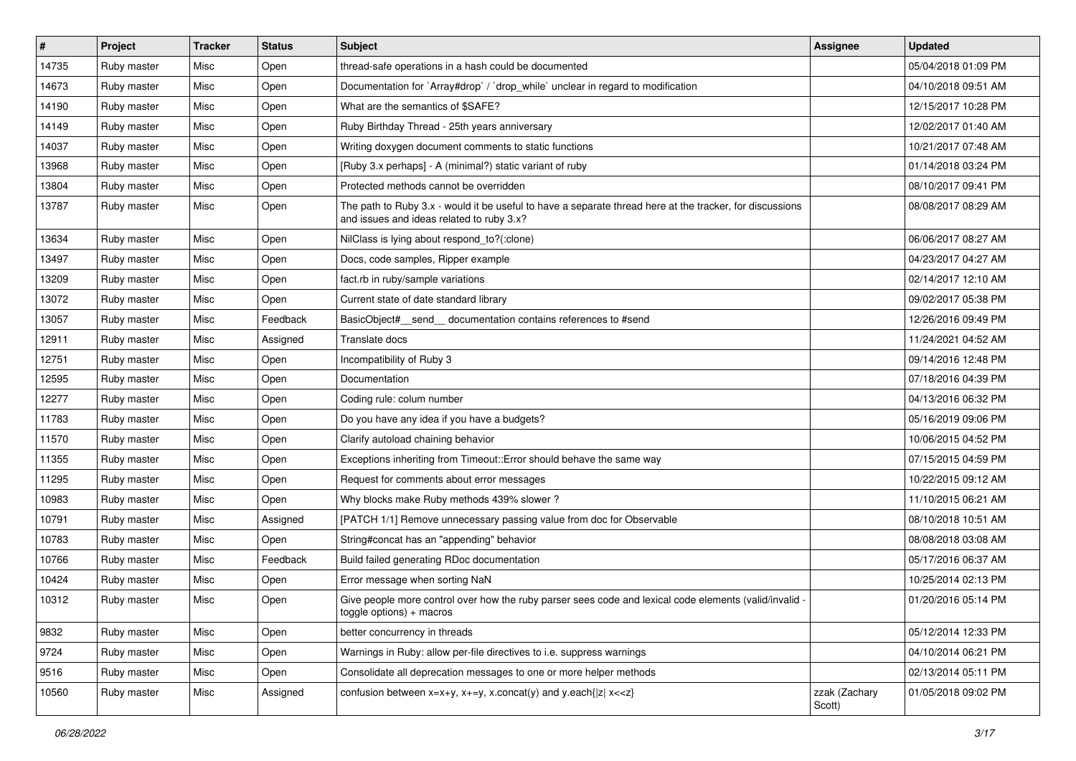| $\sharp$ | Project     | <b>Tracker</b> | <b>Status</b> | <b>Subject</b>                                                                                                                                        | <b>Assignee</b>         | <b>Updated</b>      |
|----------|-------------|----------------|---------------|-------------------------------------------------------------------------------------------------------------------------------------------------------|-------------------------|---------------------|
| 14735    | Ruby master | Misc           | Open          | thread-safe operations in a hash could be documented                                                                                                  |                         | 05/04/2018 01:09 PM |
| 14673    | Ruby master | Misc           | Open          | Documentation for `Array#drop` / `drop_while` unclear in regard to modification                                                                       |                         | 04/10/2018 09:51 AM |
| 14190    | Ruby master | Misc           | Open          | What are the semantics of \$SAFE?                                                                                                                     |                         | 12/15/2017 10:28 PM |
| 14149    | Ruby master | Misc           | Open          | Ruby Birthday Thread - 25th years anniversary                                                                                                         |                         | 12/02/2017 01:40 AM |
| 14037    | Ruby master | Misc           | Open          | Writing doxygen document comments to static functions                                                                                                 |                         | 10/21/2017 07:48 AM |
| 13968    | Ruby master | Misc           | Open          | [Ruby 3.x perhaps] - A (minimal?) static variant of ruby                                                                                              |                         | 01/14/2018 03:24 PM |
| 13804    | Ruby master | Misc           | Open          | Protected methods cannot be overridden                                                                                                                |                         | 08/10/2017 09:41 PM |
| 13787    | Ruby master | Misc           | Open          | The path to Ruby 3.x - would it be useful to have a separate thread here at the tracker, for discussions<br>and issues and ideas related to ruby 3.x? |                         | 08/08/2017 08:29 AM |
| 13634    | Ruby master | Misc           | Open          | NilClass is lying about respond_to?(:clone)                                                                                                           |                         | 06/06/2017 08:27 AM |
| 13497    | Ruby master | Misc           | Open          | Docs, code samples, Ripper example                                                                                                                    |                         | 04/23/2017 04:27 AM |
| 13209    | Ruby master | Misc           | Open          | fact.rb in ruby/sample variations                                                                                                                     |                         | 02/14/2017 12:10 AM |
| 13072    | Ruby master | Misc           | Open          | Current state of date standard library                                                                                                                |                         | 09/02/2017 05:38 PM |
| 13057    | Ruby master | Misc           | Feedback      | BasicObject#_send__documentation contains references to #send                                                                                         |                         | 12/26/2016 09:49 PM |
| 12911    | Ruby master | Misc           | Assigned      | Translate docs                                                                                                                                        |                         | 11/24/2021 04:52 AM |
| 12751    | Ruby master | Misc           | Open          | Incompatibility of Ruby 3                                                                                                                             |                         | 09/14/2016 12:48 PM |
| 12595    | Ruby master | Misc           | Open          | Documentation                                                                                                                                         |                         | 07/18/2016 04:39 PM |
| 12277    | Ruby master | Misc           | Open          | Coding rule: colum number                                                                                                                             |                         | 04/13/2016 06:32 PM |
| 11783    | Ruby master | Misc           | Open          | Do you have any idea if you have a budgets?                                                                                                           |                         | 05/16/2019 09:06 PM |
| 11570    | Ruby master | Misc           | Open          | Clarify autoload chaining behavior                                                                                                                    |                         | 10/06/2015 04:52 PM |
| 11355    | Ruby master | Misc           | Open          | Exceptions inheriting from Timeout:: Error should behave the same way                                                                                 |                         | 07/15/2015 04:59 PM |
| 11295    | Ruby master | Misc           | Open          | Request for comments about error messages                                                                                                             |                         | 10/22/2015 09:12 AM |
| 10983    | Ruby master | Misc           | Open          | Why blocks make Ruby methods 439% slower?                                                                                                             |                         | 11/10/2015 06:21 AM |
| 10791    | Ruby master | Misc           | Assigned      | [PATCH 1/1] Remove unnecessary passing value from doc for Observable                                                                                  |                         | 08/10/2018 10:51 AM |
| 10783    | Ruby master | Misc           | Open          | String#concat has an "appending" behavior                                                                                                             |                         | 08/08/2018 03:08 AM |
| 10766    | Ruby master | Misc           | Feedback      | Build failed generating RDoc documentation                                                                                                            |                         | 05/17/2016 06:37 AM |
| 10424    | Ruby master | Misc           | Open          | Error message when sorting NaN                                                                                                                        |                         | 10/25/2014 02:13 PM |
| 10312    | Ruby master | Misc           | Open          | Give people more control over how the ruby parser sees code and lexical code elements (valid/invalid -<br>$toggle$ options) + macros                  |                         | 01/20/2016 05:14 PM |
| 9832     | Ruby master | Misc           | Open          | better concurrency in threads                                                                                                                         |                         | 05/12/2014 12:33 PM |
| 9724     | Ruby master | Misc           | Open          | Warnings in Ruby: allow per-file directives to i.e. suppress warnings                                                                                 |                         | 04/10/2014 06:21 PM |
| 9516     | Ruby master | Misc           | Open          | Consolidate all deprecation messages to one or more helper methods                                                                                    |                         | 02/13/2014 05:11 PM |
| 10560    | Ruby master | Misc           | Assigned      | confusion between $x=x+y$ , $x+=y$ , $x$ .concat(y) and $y$ .each{ z  $x<}$                                                                           | zzak (Zachary<br>Scott) | 01/05/2018 09:02 PM |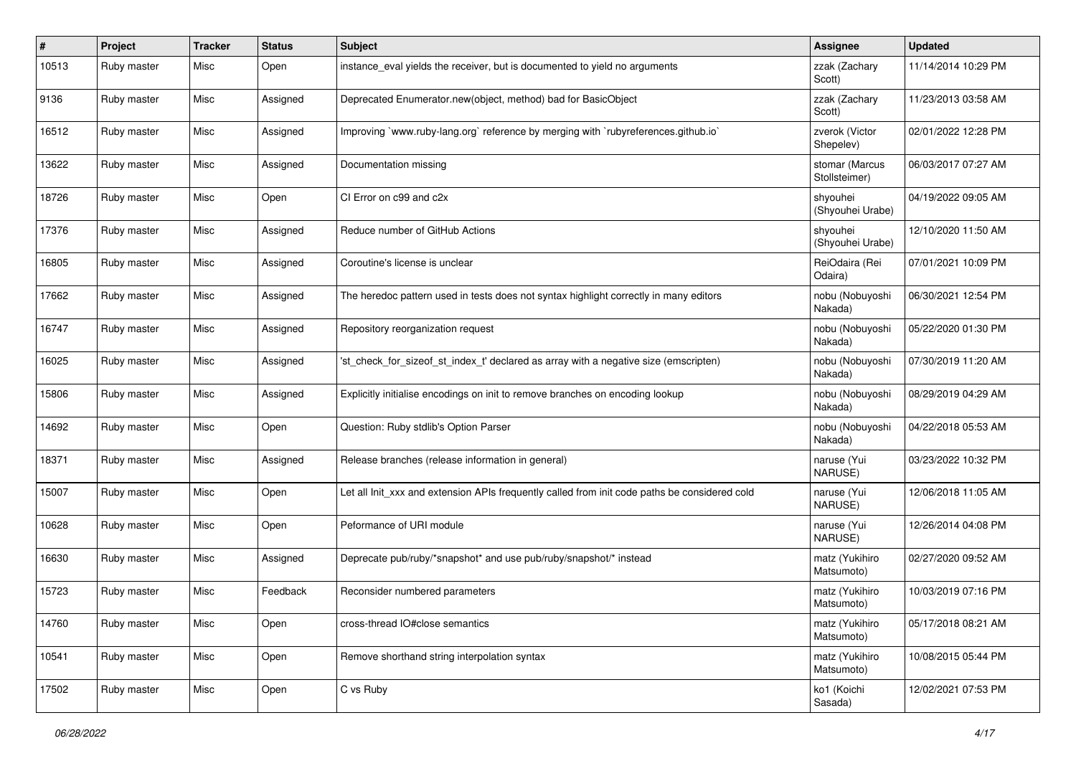| #     | Project     | <b>Tracker</b> | <b>Status</b> | <b>Subject</b>                                                                                | <b>Assignee</b>                 | <b>Updated</b>      |
|-------|-------------|----------------|---------------|-----------------------------------------------------------------------------------------------|---------------------------------|---------------------|
| 10513 | Ruby master | Misc           | Open          | instance_eval yields the receiver, but is documented to yield no arguments                    | zzak (Zachary<br>Scott)         | 11/14/2014 10:29 PM |
| 9136  | Ruby master | Misc           | Assigned      | Deprecated Enumerator.new(object, method) bad for BasicObject                                 | zzak (Zachary<br>Scott)         | 11/23/2013 03:58 AM |
| 16512 | Ruby master | Misc           | Assigned      | Improving `www.ruby-lang.org` reference by merging with `rubyreferences.github.io`            | zverok (Victor<br>Shepelev)     | 02/01/2022 12:28 PM |
| 13622 | Ruby master | Misc           | Assigned      | Documentation missing                                                                         | stomar (Marcus<br>Stollsteimer) | 06/03/2017 07:27 AM |
| 18726 | Ruby master | Misc           | Open          | CI Error on c99 and c2x                                                                       | shyouhei<br>(Shyouhei Urabe)    | 04/19/2022 09:05 AM |
| 17376 | Ruby master | Misc           | Assigned      | Reduce number of GitHub Actions                                                               | shyouhei<br>(Shyouhei Urabe)    | 12/10/2020 11:50 AM |
| 16805 | Ruby master | Misc           | Assigned      | Coroutine's license is unclear                                                                | ReiOdaira (Rei<br>Odaira)       | 07/01/2021 10:09 PM |
| 17662 | Ruby master | Misc           | Assigned      | The heredoc pattern used in tests does not syntax highlight correctly in many editors         | nobu (Nobuyoshi<br>Nakada)      | 06/30/2021 12:54 PM |
| 16747 | Ruby master | Misc           | Assigned      | Repository reorganization request                                                             | nobu (Nobuyoshi<br>Nakada)      | 05/22/2020 01:30 PM |
| 16025 | Ruby master | Misc           | Assigned      | 'st_check_for_sizeof_st_index_t' declared as array with a negative size (emscripten)          | nobu (Nobuyoshi<br>Nakada)      | 07/30/2019 11:20 AM |
| 15806 | Ruby master | Misc           | Assigned      | Explicitly initialise encodings on init to remove branches on encoding lookup                 | nobu (Nobuyoshi<br>Nakada)      | 08/29/2019 04:29 AM |
| 14692 | Ruby master | Misc           | Open          | Question: Ruby stdlib's Option Parser                                                         | nobu (Nobuyoshi<br>Nakada)      | 04/22/2018 05:53 AM |
| 18371 | Ruby master | Misc           | Assigned      | Release branches (release information in general)                                             | naruse (Yui<br>NARUSE)          | 03/23/2022 10:32 PM |
| 15007 | Ruby master | Misc           | Open          | Let all Init_xxx and extension APIs frequently called from init code paths be considered cold | naruse (Yui<br>NARUSE)          | 12/06/2018 11:05 AM |
| 10628 | Ruby master | Misc           | Open          | Peformance of URI module                                                                      | naruse (Yui<br>NARUSE)          | 12/26/2014 04:08 PM |
| 16630 | Ruby master | Misc           | Assigned      | Deprecate pub/ruby/*snapshot* and use pub/ruby/snapshot/* instead                             | matz (Yukihiro<br>Matsumoto)    | 02/27/2020 09:52 AM |
| 15723 | Ruby master | Misc           | Feedback      | Reconsider numbered parameters                                                                | matz (Yukihiro<br>Matsumoto)    | 10/03/2019 07:16 PM |
| 14760 | Ruby master | Misc           | Open          | cross-thread IO#close semantics                                                               | matz (Yukihiro<br>Matsumoto)    | 05/17/2018 08:21 AM |
| 10541 | Ruby master | Misc           | Open          | Remove shorthand string interpolation syntax                                                  | matz (Yukihiro<br>Matsumoto)    | 10/08/2015 05:44 PM |
| 17502 | Ruby master | Misc           | Open          | C vs Ruby                                                                                     | ko1 (Koichi<br>Sasada)          | 12/02/2021 07:53 PM |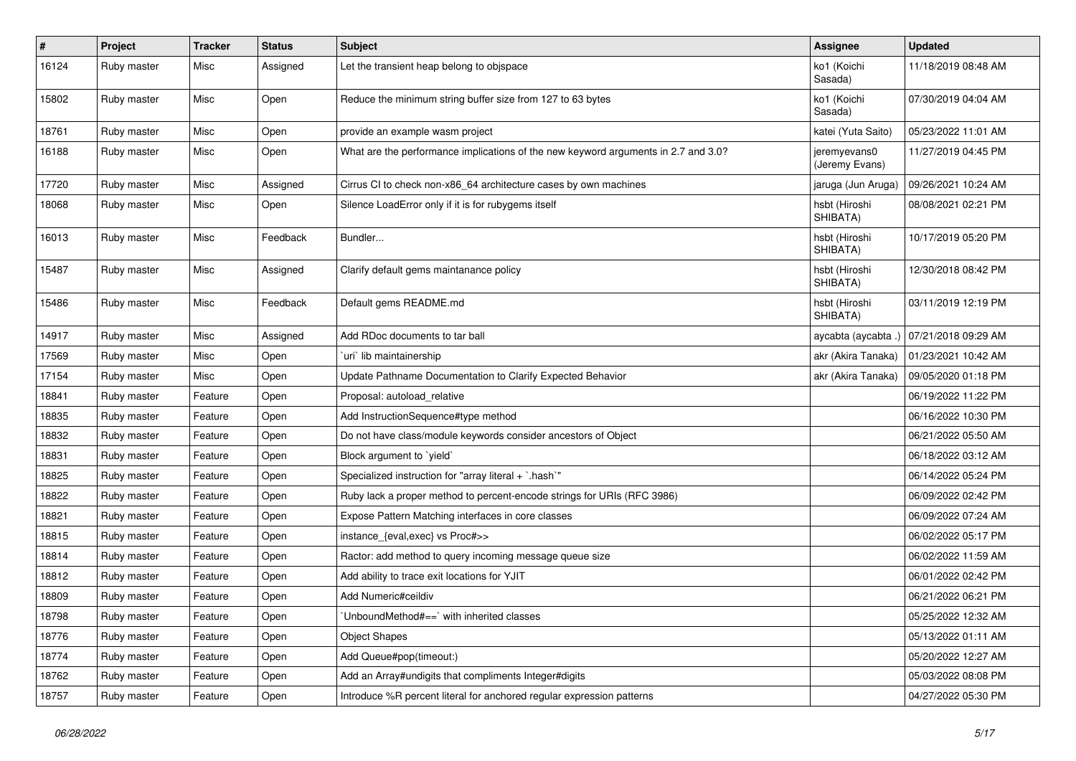| $\sharp$ | Project     | <b>Tracker</b> | <b>Status</b> | Subject                                                                            | <b>Assignee</b>                | <b>Updated</b>      |
|----------|-------------|----------------|---------------|------------------------------------------------------------------------------------|--------------------------------|---------------------|
| 16124    | Ruby master | Misc           | Assigned      | Let the transient heap belong to objspace                                          | ko1 (Koichi<br>Sasada)         | 11/18/2019 08:48 AM |
| 15802    | Ruby master | Misc           | Open          | Reduce the minimum string buffer size from 127 to 63 bytes                         | ko1 (Koichi<br>Sasada)         | 07/30/2019 04:04 AM |
| 18761    | Ruby master | Misc           | Open          | provide an example wasm project                                                    | katei (Yuta Saito)             | 05/23/2022 11:01 AM |
| 16188    | Ruby master | Misc           | Open          | What are the performance implications of the new keyword arguments in 2.7 and 3.0? | jeremyevans0<br>(Jeremy Evans) | 11/27/2019 04:45 PM |
| 17720    | Ruby master | Misc           | Assigned      | Cirrus CI to check non-x86_64 architecture cases by own machines                   | jaruga (Jun Aruga)             | 09/26/2021 10:24 AM |
| 18068    | Ruby master | Misc           | Open          | Silence LoadError only if it is for rubygems itself                                | hsbt (Hiroshi<br>SHIBATA)      | 08/08/2021 02:21 PM |
| 16013    | Ruby master | Misc           | Feedback      | Bundler                                                                            | hsbt (Hiroshi<br>SHIBATA)      | 10/17/2019 05:20 PM |
| 15487    | Ruby master | Misc           | Assigned      | Clarify default gems maintanance policy                                            | hsbt (Hiroshi<br>SHIBATA)      | 12/30/2018 08:42 PM |
| 15486    | Ruby master | Misc           | Feedback      | Default gems README.md                                                             | hsbt (Hiroshi<br>SHIBATA)      | 03/11/2019 12:19 PM |
| 14917    | Ruby master | Misc           | Assigned      | Add RDoc documents to tar ball                                                     | aycabta (aycabta .)            | 07/21/2018 09:29 AM |
| 17569    | Ruby master | Misc           | Open          | uri lib maintainership                                                             | akr (Akira Tanaka)             | 01/23/2021 10:42 AM |
| 17154    | Ruby master | Misc           | Open          | Update Pathname Documentation to Clarify Expected Behavior                         | akr (Akira Tanaka)             | 09/05/2020 01:18 PM |
| 18841    | Ruby master | Feature        | Open          | Proposal: autoload_relative                                                        |                                | 06/19/2022 11:22 PM |
| 18835    | Ruby master | Feature        | Open          | Add InstructionSequence#type method                                                |                                | 06/16/2022 10:30 PM |
| 18832    | Ruby master | Feature        | Open          | Do not have class/module keywords consider ancestors of Object                     |                                | 06/21/2022 05:50 AM |
| 18831    | Ruby master | Feature        | Open          | Block argument to `yield`                                                          |                                | 06/18/2022 03:12 AM |
| 18825    | Ruby master | Feature        | Open          | Specialized instruction for "array literal + `.hash`"                              |                                | 06/14/2022 05:24 PM |
| 18822    | Ruby master | Feature        | Open          | Ruby lack a proper method to percent-encode strings for URIs (RFC 3986)            |                                | 06/09/2022 02:42 PM |
| 18821    | Ruby master | Feature        | Open          | Expose Pattern Matching interfaces in core classes                                 |                                | 06/09/2022 07:24 AM |
| 18815    | Ruby master | Feature        | Open          | instance_{eval,exec} vs Proc#>>                                                    |                                | 06/02/2022 05:17 PM |
| 18814    | Ruby master | Feature        | Open          | Ractor: add method to query incoming message queue size                            |                                | 06/02/2022 11:59 AM |
| 18812    | Ruby master | Feature        | Open          | Add ability to trace exit locations for YJIT                                       |                                | 06/01/2022 02:42 PM |
| 18809    | Ruby master | Feature        | Open          | Add Numeric#ceildiv                                                                |                                | 06/21/2022 06:21 PM |
| 18798    | Ruby master | Feature        | Open          | 'UnboundMethod#==' with inherited classes                                          |                                | 05/25/2022 12:32 AM |
| 18776    | Ruby master | Feature        | Open          | <b>Object Shapes</b>                                                               |                                | 05/13/2022 01:11 AM |
| 18774    | Ruby master | Feature        | Open          | Add Queue#pop(timeout:)                                                            |                                | 05/20/2022 12:27 AM |
| 18762    | Ruby master | Feature        | Open          | Add an Array#undigits that compliments Integer#digits                              |                                | 05/03/2022 08:08 PM |
| 18757    | Ruby master | Feature        | Open          | Introduce %R percent literal for anchored regular expression patterns              |                                | 04/27/2022 05:30 PM |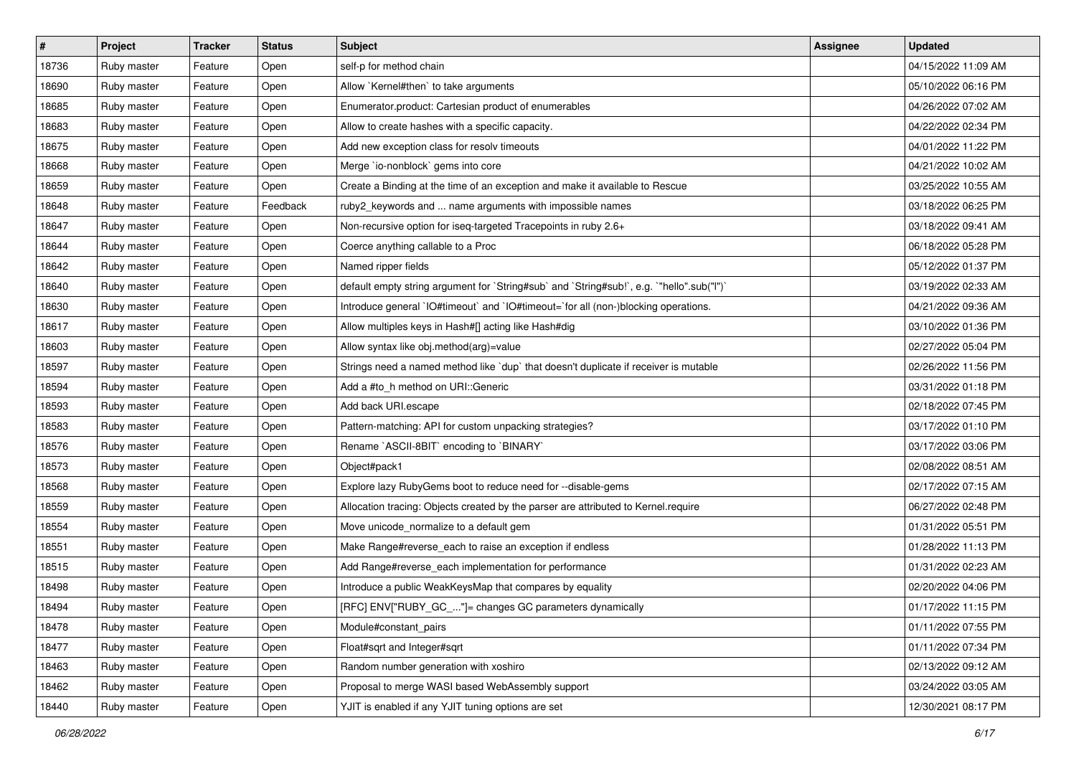| $\vert$ # | Project     | <b>Tracker</b> | <b>Status</b> | <b>Subject</b>                                                                            | <b>Assignee</b> | <b>Updated</b>      |
|-----------|-------------|----------------|---------------|-------------------------------------------------------------------------------------------|-----------------|---------------------|
| 18736     | Ruby master | Feature        | Open          | self-p for method chain                                                                   |                 | 04/15/2022 11:09 AM |
| 18690     | Ruby master | Feature        | Open          | Allow `Kernel#then` to take arguments                                                     |                 | 05/10/2022 06:16 PM |
| 18685     | Ruby master | Feature        | Open          | Enumerator.product: Cartesian product of enumerables                                      |                 | 04/26/2022 07:02 AM |
| 18683     | Ruby master | Feature        | Open          | Allow to create hashes with a specific capacity.                                          |                 | 04/22/2022 02:34 PM |
| 18675     | Ruby master | Feature        | Open          | Add new exception class for resolv timeouts                                               |                 | 04/01/2022 11:22 PM |
| 18668     | Ruby master | Feature        | Open          | Merge `io-nonblock` gems into core                                                        |                 | 04/21/2022 10:02 AM |
| 18659     | Ruby master | Feature        | Open          | Create a Binding at the time of an exception and make it available to Rescue              |                 | 03/25/2022 10:55 AM |
| 18648     | Ruby master | Feature        | Feedback      | ruby2_keywords and  name arguments with impossible names                                  |                 | 03/18/2022 06:25 PM |
| 18647     | Ruby master | Feature        | Open          | Non-recursive option for iseq-targeted Tracepoints in ruby 2.6+                           |                 | 03/18/2022 09:41 AM |
| 18644     | Ruby master | Feature        | Open          | Coerce anything callable to a Proc                                                        |                 | 06/18/2022 05:28 PM |
| 18642     | Ruby master | Feature        | Open          | Named ripper fields                                                                       |                 | 05/12/2022 01:37 PM |
| 18640     | Ruby master | Feature        | Open          | default empty string argument for `String#sub` and `String#sub!`, e.g. `"hello".sub("I")` |                 | 03/19/2022 02:33 AM |
| 18630     | Ruby master | Feature        | Open          | Introduce general `IO#timeout` and `IO#timeout=`for all (non-)blocking operations.        |                 | 04/21/2022 09:36 AM |
| 18617     | Ruby master | Feature        | Open          | Allow multiples keys in Hash#[] acting like Hash#dig                                      |                 | 03/10/2022 01:36 PM |
| 18603     | Ruby master | Feature        | Open          | Allow syntax like obj.method(arg)=value                                                   |                 | 02/27/2022 05:04 PM |
| 18597     | Ruby master | Feature        | Open          | Strings need a named method like `dup` that doesn't duplicate if receiver is mutable      |                 | 02/26/2022 11:56 PM |
| 18594     | Ruby master | Feature        | Open          | Add a #to_h method on URI::Generic                                                        |                 | 03/31/2022 01:18 PM |
| 18593     | Ruby master | Feature        | Open          | Add back URI.escape                                                                       |                 | 02/18/2022 07:45 PM |
| 18583     | Ruby master | Feature        | Open          | Pattern-matching: API for custom unpacking strategies?                                    |                 | 03/17/2022 01:10 PM |
| 18576     | Ruby master | Feature        | Open          | Rename `ASCII-8BIT` encoding to `BINARY`                                                  |                 | 03/17/2022 03:06 PM |
| 18573     | Ruby master | Feature        | Open          | Object#pack1                                                                              |                 | 02/08/2022 08:51 AM |
| 18568     | Ruby master | Feature        | Open          | Explore lazy RubyGems boot to reduce need for --disable-gems                              |                 | 02/17/2022 07:15 AM |
| 18559     | Ruby master | Feature        | Open          | Allocation tracing: Objects created by the parser are attributed to Kernel.require        |                 | 06/27/2022 02:48 PM |
| 18554     | Ruby master | Feature        | Open          | Move unicode_normalize to a default gem                                                   |                 | 01/31/2022 05:51 PM |
| 18551     | Ruby master | Feature        | Open          | Make Range#reverse_each to raise an exception if endless                                  |                 | 01/28/2022 11:13 PM |
| 18515     | Ruby master | Feature        | Open          | Add Range#reverse_each implementation for performance                                     |                 | 01/31/2022 02:23 AM |
| 18498     | Ruby master | Feature        | Open          | Introduce a public WeakKeysMap that compares by equality                                  |                 | 02/20/2022 04:06 PM |
| 18494     | Ruby master | Feature        | Open          | [RFC] ENV["RUBY_GC_"]= changes GC parameters dynamically                                  |                 | 01/17/2022 11:15 PM |
| 18478     | Ruby master | Feature        | Open          | Module#constant pairs                                                                     |                 | 01/11/2022 07:55 PM |
| 18477     | Ruby master | Feature        | Open          | Float#sqrt and Integer#sqrt                                                               |                 | 01/11/2022 07:34 PM |
| 18463     | Ruby master | Feature        | Open          | Random number generation with xoshiro                                                     |                 | 02/13/2022 09:12 AM |
| 18462     | Ruby master | Feature        | Open          | Proposal to merge WASI based WebAssembly support                                          |                 | 03/24/2022 03:05 AM |
| 18440     | Ruby master | Feature        | Open          | YJIT is enabled if any YJIT tuning options are set                                        |                 | 12/30/2021 08:17 PM |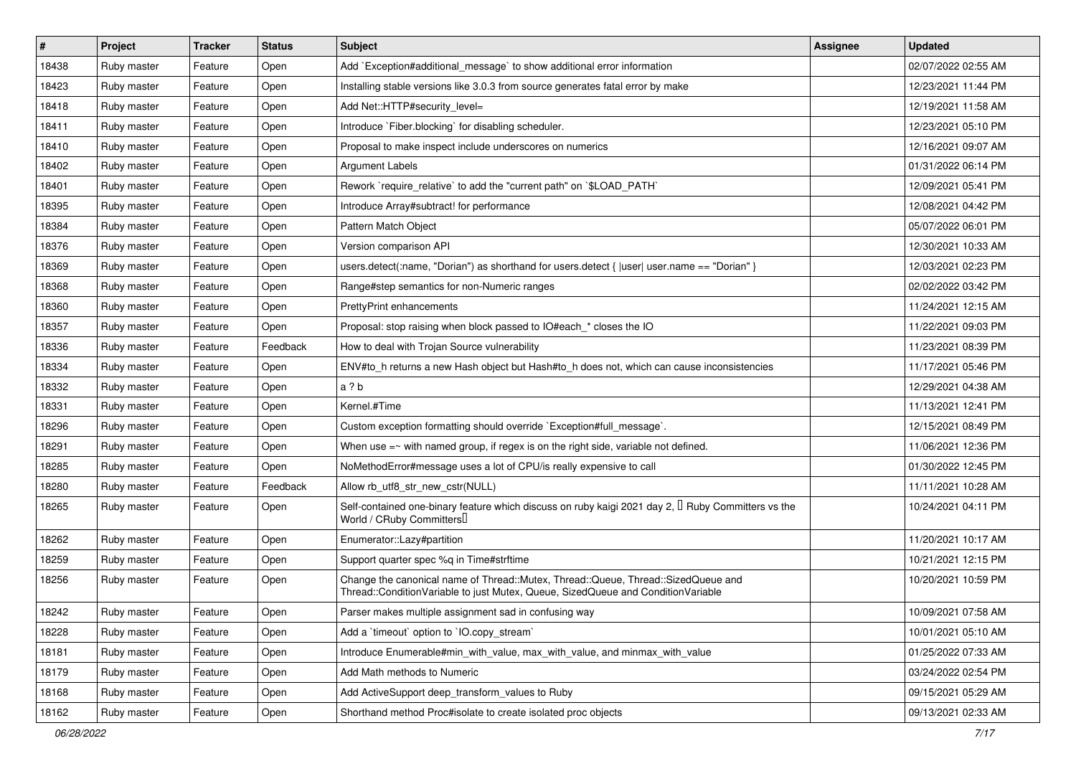| $\vert$ # | Project     | <b>Tracker</b> | <b>Status</b> | <b>Subject</b>                                                                                                                                                        | <b>Assignee</b> | <b>Updated</b>      |
|-----------|-------------|----------------|---------------|-----------------------------------------------------------------------------------------------------------------------------------------------------------------------|-----------------|---------------------|
| 18438     | Ruby master | Feature        | Open          | Add `Exception#additional message` to show additional error information                                                                                               |                 | 02/07/2022 02:55 AM |
| 18423     | Ruby master | Feature        | Open          | Installing stable versions like 3.0.3 from source generates fatal error by make                                                                                       |                 | 12/23/2021 11:44 PM |
| 18418     | Ruby master | Feature        | Open          | Add Net::HTTP#security_level=                                                                                                                                         |                 | 12/19/2021 11:58 AM |
| 18411     | Ruby master | Feature        | Open          | Introduce `Fiber.blocking` for disabling scheduler.                                                                                                                   |                 | 12/23/2021 05:10 PM |
| 18410     | Ruby master | Feature        | Open          | Proposal to make inspect include underscores on numerics                                                                                                              |                 | 12/16/2021 09:07 AM |
| 18402     | Ruby master | Feature        | Open          | <b>Argument Labels</b>                                                                                                                                                |                 | 01/31/2022 06:14 PM |
| 18401     | Ruby master | Feature        | Open          | Rework `require_relative` to add the "current path" on `\$LOAD_PATH`                                                                                                  |                 | 12/09/2021 05:41 PM |
| 18395     | Ruby master | Feature        | Open          | Introduce Array#subtract! for performance                                                                                                                             |                 | 12/08/2021 04:42 PM |
| 18384     | Ruby master | Feature        | Open          | Pattern Match Object                                                                                                                                                  |                 | 05/07/2022 06:01 PM |
| 18376     | Ruby master | Feature        | Open          | Version comparison API                                                                                                                                                |                 | 12/30/2021 10:33 AM |
| 18369     | Ruby master | Feature        | Open          | users.detect(:name, "Dorian") as shorthand for users.detect { $ user $ user.name == "Dorian" }                                                                        |                 | 12/03/2021 02:23 PM |
| 18368     | Ruby master | Feature        | Open          | Range#step semantics for non-Numeric ranges                                                                                                                           |                 | 02/02/2022 03:42 PM |
| 18360     | Ruby master | Feature        | Open          | <b>PrettyPrint enhancements</b>                                                                                                                                       |                 | 11/24/2021 12:15 AM |
| 18357     | Ruby master | Feature        | Open          | Proposal: stop raising when block passed to IO#each * closes the IO                                                                                                   |                 | 11/22/2021 09:03 PM |
| 18336     | Ruby master | Feature        | Feedback      | How to deal with Trojan Source vulnerability                                                                                                                          |                 | 11/23/2021 08:39 PM |
| 18334     | Ruby master | Feature        | Open          | ENV#to_h returns a new Hash object but Hash#to_h does not, which can cause inconsistencies                                                                            |                 | 11/17/2021 05:46 PM |
| 18332     | Ruby master | Feature        | Open          | a ? b                                                                                                                                                                 |                 | 12/29/2021 04:38 AM |
| 18331     | Ruby master | Feature        | Open          | Kernel.#Time                                                                                                                                                          |                 | 11/13/2021 12:41 PM |
| 18296     | Ruby master | Feature        | Open          | Custom exception formatting should override `Exception#full_message`.                                                                                                 |                 | 12/15/2021 08:49 PM |
| 18291     | Ruby master | Feature        | Open          | When use $=\sim$ with named group, if regex is on the right side, variable not defined.                                                                               |                 | 11/06/2021 12:36 PM |
| 18285     | Ruby master | Feature        | Open          | NoMethodError#message uses a lot of CPU/is really expensive to call                                                                                                   |                 | 01/30/2022 12:45 PM |
| 18280     | Ruby master | Feature        | Feedback      | Allow rb utf8 str new cstr(NULL)                                                                                                                                      |                 | 11/11/2021 10:28 AM |
| 18265     | Ruby master | Feature        | Open          | Self-contained one-binary feature which discuss on ruby kaigi 2021 day 2, $\Box$ Ruby Committers vs the<br>World / CRuby Committers                                   |                 | 10/24/2021 04:11 PM |
| 18262     | Ruby master | Feature        | Open          | Enumerator::Lazy#partition                                                                                                                                            |                 | 11/20/2021 10:17 AM |
| 18259     | Ruby master | Feature        | Open          | Support quarter spec %q in Time#strftime                                                                                                                              |                 | 10/21/2021 12:15 PM |
| 18256     | Ruby master | Feature        | Open          | Change the canonical name of Thread::Mutex, Thread::Queue, Thread::SizedQueue and<br>Thread::ConditionVariable to just Mutex, Queue, SizedQueue and ConditionVariable |                 | 10/20/2021 10:59 PM |
| 18242     | Ruby master | Feature        | Open          | Parser makes multiple assignment sad in confusing way                                                                                                                 |                 | 10/09/2021 07:58 AM |
| 18228     | Ruby master | Feature        | Open          | Add a 'timeout' option to 'IO.copy_stream'                                                                                                                            |                 | 10/01/2021 05:10 AM |
| 18181     | Ruby master | Feature        | Open          | Introduce Enumerable#min_with_value, max_with_value, and minmax_with_value                                                                                            |                 | 01/25/2022 07:33 AM |
| 18179     | Ruby master | Feature        | Open          | Add Math methods to Numeric                                                                                                                                           |                 | 03/24/2022 02:54 PM |
| 18168     | Ruby master | Feature        | Open          | Add ActiveSupport deep_transform_values to Ruby                                                                                                                       |                 | 09/15/2021 05:29 AM |
| 18162     | Ruby master | Feature        | Open          | Shorthand method Proc#isolate to create isolated proc objects                                                                                                         |                 | 09/13/2021 02:33 AM |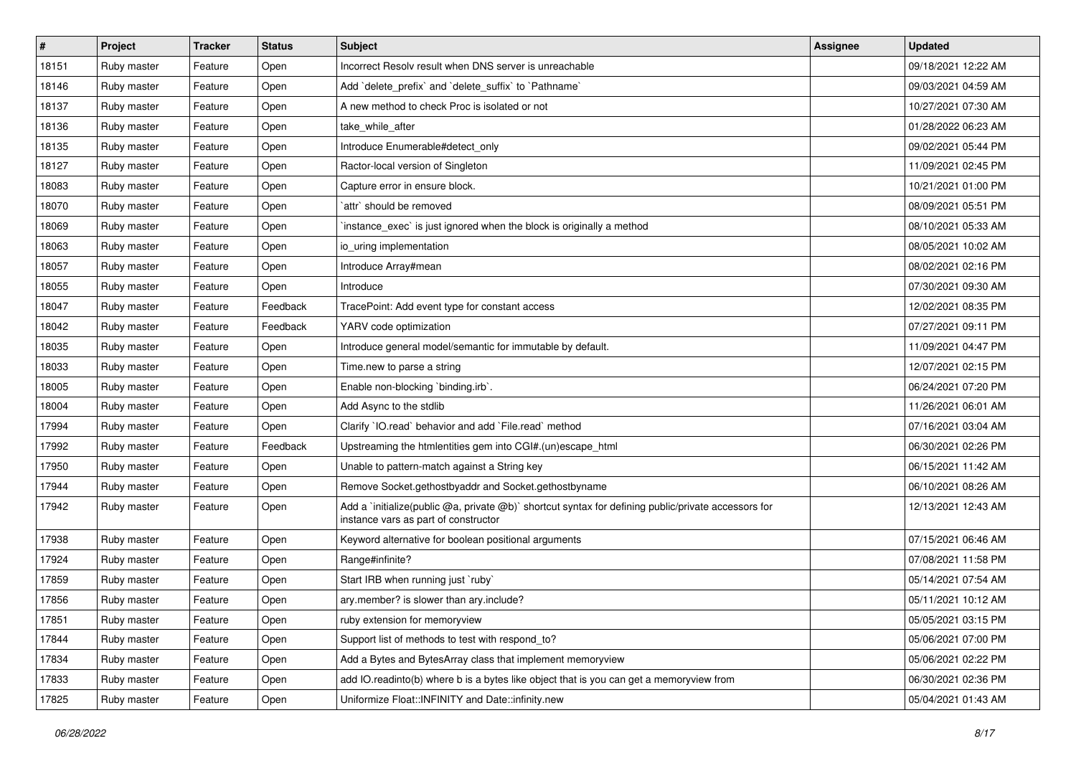| $\sharp$ | <b>Project</b> | <b>Tracker</b> | <b>Status</b> | <b>Subject</b>                                                                                                                              | <b>Assignee</b> | <b>Updated</b>      |
|----------|----------------|----------------|---------------|---------------------------------------------------------------------------------------------------------------------------------------------|-----------------|---------------------|
| 18151    | Ruby master    | Feature        | Open          | Incorrect Resolv result when DNS server is unreachable                                                                                      |                 | 09/18/2021 12:22 AM |
| 18146    | Ruby master    | Feature        | Open          | Add 'delete_prefix' and 'delete_suffix' to 'Pathname'                                                                                       |                 | 09/03/2021 04:59 AM |
| 18137    | Ruby master    | Feature        | Open          | A new method to check Proc is isolated or not                                                                                               |                 | 10/27/2021 07:30 AM |
| 18136    | Ruby master    | Feature        | Open          | take while after                                                                                                                            |                 | 01/28/2022 06:23 AM |
| 18135    | Ruby master    | Feature        | Open          | Introduce Enumerable#detect only                                                                                                            |                 | 09/02/2021 05:44 PM |
| 18127    | Ruby master    | Feature        | Open          | Ractor-local version of Singleton                                                                                                           |                 | 11/09/2021 02:45 PM |
| 18083    | Ruby master    | Feature        | Open          | Capture error in ensure block.                                                                                                              |                 | 10/21/2021 01:00 PM |
| 18070    | Ruby master    | Feature        | Open          | attr` should be removed                                                                                                                     |                 | 08/09/2021 05:51 PM |
| 18069    | Ruby master    | Feature        | Open          | instance_exec` is just ignored when the block is originally a method                                                                        |                 | 08/10/2021 05:33 AM |
| 18063    | Ruby master    | Feature        | Open          | io uring implementation                                                                                                                     |                 | 08/05/2021 10:02 AM |
| 18057    | Ruby master    | Feature        | Open          | Introduce Array#mean                                                                                                                        |                 | 08/02/2021 02:16 PM |
| 18055    | Ruby master    | Feature        | Open          | Introduce                                                                                                                                   |                 | 07/30/2021 09:30 AM |
| 18047    | Ruby master    | Feature        | Feedback      | TracePoint: Add event type for constant access                                                                                              |                 | 12/02/2021 08:35 PM |
| 18042    | Ruby master    | Feature        | Feedback      | YARV code optimization                                                                                                                      |                 | 07/27/2021 09:11 PM |
| 18035    | Ruby master    | Feature        | Open          | Introduce general model/semantic for immutable by default.                                                                                  |                 | 11/09/2021 04:47 PM |
| 18033    | Ruby master    | Feature        | Open          | Time.new to parse a string                                                                                                                  |                 | 12/07/2021 02:15 PM |
| 18005    | Ruby master    | Feature        | Open          | Enable non-blocking `binding.irb`.                                                                                                          |                 | 06/24/2021 07:20 PM |
| 18004    | Ruby master    | Feature        | Open          | Add Async to the stdlib                                                                                                                     |                 | 11/26/2021 06:01 AM |
| 17994    | Ruby master    | Feature        | Open          | Clarify 'IO.read' behavior and add 'File.read' method                                                                                       |                 | 07/16/2021 03:04 AM |
| 17992    | Ruby master    | Feature        | Feedback      | Upstreaming the htmlentities gem into CGI#.(un)escape_html                                                                                  |                 | 06/30/2021 02:26 PM |
| 17950    | Ruby master    | Feature        | Open          | Unable to pattern-match against a String key                                                                                                |                 | 06/15/2021 11:42 AM |
| 17944    | Ruby master    | Feature        | Open          | Remove Socket.gethostbyaddr and Socket.gethostbyname                                                                                        |                 | 06/10/2021 08:26 AM |
| 17942    | Ruby master    | Feature        | Open          | Add a `initialize(public @a, private @b)` shortcut syntax for defining public/private accessors for<br>instance vars as part of constructor |                 | 12/13/2021 12:43 AM |
| 17938    | Ruby master    | Feature        | Open          | Keyword alternative for boolean positional arguments                                                                                        |                 | 07/15/2021 06:46 AM |
| 17924    | Ruby master    | Feature        | Open          | Range#infinite?                                                                                                                             |                 | 07/08/2021 11:58 PM |
| 17859    | Ruby master    | Feature        | Open          | Start IRB when running just `ruby`                                                                                                          |                 | 05/14/2021 07:54 AM |
| 17856    | Ruby master    | Feature        | Open          | ary.member? is slower than ary.include?                                                                                                     |                 | 05/11/2021 10:12 AM |
| 17851    | Ruby master    | Feature        | Open          | ruby extension for memoryview                                                                                                               |                 | 05/05/2021 03:15 PM |
| 17844    | Ruby master    | Feature        | Open          | Support list of methods to test with respond_to?                                                                                            |                 | 05/06/2021 07:00 PM |
| 17834    | Ruby master    | Feature        | Open          | Add a Bytes and BytesArray class that implement memoryview                                                                                  |                 | 05/06/2021 02:22 PM |
| 17833    | Ruby master    | Feature        | Open          | add IO.readinto(b) where b is a bytes like object that is you can get a memoryview from                                                     |                 | 06/30/2021 02:36 PM |
| 17825    | Ruby master    | Feature        | Open          | Uniformize Float::INFINITY and Date::infinity.new                                                                                           |                 | 05/04/2021 01:43 AM |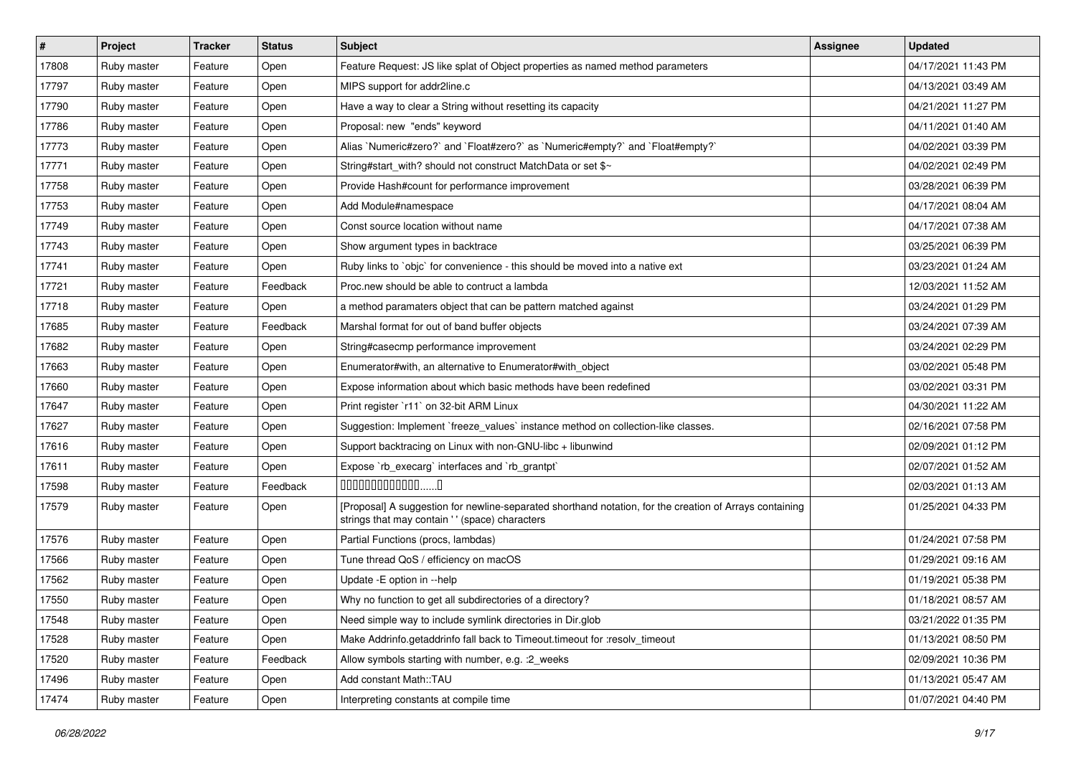| $\sharp$ | Project     | <b>Tracker</b> | <b>Status</b> | <b>Subject</b>                                                                                                                                             | <b>Assignee</b> | <b>Updated</b>      |
|----------|-------------|----------------|---------------|------------------------------------------------------------------------------------------------------------------------------------------------------------|-----------------|---------------------|
| 17808    | Ruby master | Feature        | Open          | Feature Request: JS like splat of Object properties as named method parameters                                                                             |                 | 04/17/2021 11:43 PM |
| 17797    | Ruby master | Feature        | Open          | MIPS support for addr2line.c                                                                                                                               |                 | 04/13/2021 03:49 AM |
| 17790    | Ruby master | Feature        | Open          | Have a way to clear a String without resetting its capacity                                                                                                |                 | 04/21/2021 11:27 PM |
| 17786    | Ruby master | Feature        | Open          | Proposal: new "ends" keyword                                                                                                                               |                 | 04/11/2021 01:40 AM |
| 17773    | Ruby master | Feature        | Open          | Alias `Numeric#zero?` and `Float#zero?` as `Numeric#empty?` and `Float#empty?`                                                                             |                 | 04/02/2021 03:39 PM |
| 17771    | Ruby master | Feature        | Open          | String#start with? should not construct MatchData or set \$~                                                                                               |                 | 04/02/2021 02:49 PM |
| 17758    | Ruby master | Feature        | Open          | Provide Hash#count for performance improvement                                                                                                             |                 | 03/28/2021 06:39 PM |
| 17753    | Ruby master | Feature        | Open          | Add Module#namespace                                                                                                                                       |                 | 04/17/2021 08:04 AM |
| 17749    | Ruby master | Feature        | Open          | Const source location without name                                                                                                                         |                 | 04/17/2021 07:38 AM |
| 17743    | Ruby master | Feature        | Open          | Show argument types in backtrace                                                                                                                           |                 | 03/25/2021 06:39 PM |
| 17741    | Ruby master | Feature        | Open          | Ruby links to `objc` for convenience - this should be moved into a native ext                                                                              |                 | 03/23/2021 01:24 AM |
| 17721    | Ruby master | Feature        | Feedback      | Proc.new should be able to contruct a lambda                                                                                                               |                 | 12/03/2021 11:52 AM |
| 17718    | Ruby master | Feature        | Open          | a method paramaters object that can be pattern matched against                                                                                             |                 | 03/24/2021 01:29 PM |
| 17685    | Ruby master | Feature        | Feedback      | Marshal format for out of band buffer objects                                                                                                              |                 | 03/24/2021 07:39 AM |
| 17682    | Ruby master | Feature        | Open          | String#casecmp performance improvement                                                                                                                     |                 | 03/24/2021 02:29 PM |
| 17663    | Ruby master | Feature        | Open          | Enumerator#with, an alternative to Enumerator#with_object                                                                                                  |                 | 03/02/2021 05:48 PM |
| 17660    | Ruby master | Feature        | Open          | Expose information about which basic methods have been redefined                                                                                           |                 | 03/02/2021 03:31 PM |
| 17647    | Ruby master | Feature        | Open          | Print register `r11` on 32-bit ARM Linux                                                                                                                   |                 | 04/30/2021 11:22 AM |
| 17627    | Ruby master | Feature        | Open          | Suggestion: Implement `freeze_values` instance method on collection-like classes.                                                                          |                 | 02/16/2021 07:58 PM |
| 17616    | Ruby master | Feature        | Open          | Support backtracing on Linux with non-GNU-libc + libunwind                                                                                                 |                 | 02/09/2021 01:12 PM |
| 17611    | Ruby master | Feature        | Open          | Expose `rb_execarg` interfaces and `rb_grantpt`                                                                                                            |                 | 02/07/2021 01:52 AM |
| 17598    | Ruby master | Feature        | Feedback      | $0000000000000010$                                                                                                                                         |                 | 02/03/2021 01:13 AM |
| 17579    | Ruby master | Feature        | Open          | [Proposal] A suggestion for newline-separated shorthand notation, for the creation of Arrays containing<br>strings that may contain ' ' (space) characters |                 | 01/25/2021 04:33 PM |
| 17576    | Ruby master | Feature        | Open          | Partial Functions (procs, lambdas)                                                                                                                         |                 | 01/24/2021 07:58 PM |
| 17566    | Ruby master | Feature        | Open          | Tune thread QoS / efficiency on macOS                                                                                                                      |                 | 01/29/2021 09:16 AM |
| 17562    | Ruby master | Feature        | Open          | Update - E option in --help                                                                                                                                |                 | 01/19/2021 05:38 PM |
| 17550    | Ruby master | Feature        | Open          | Why no function to get all subdirectories of a directory?                                                                                                  |                 | 01/18/2021 08:57 AM |
| 17548    | Ruby master | Feature        | Open          | Need simple way to include symlink directories in Dir.glob                                                                                                 |                 | 03/21/2022 01:35 PM |
| 17528    | Ruby master | Feature        | Open          | Make Addrinfo.getaddrinfo fall back to Timeout.timeout for :resolv_timeout                                                                                 |                 | 01/13/2021 08:50 PM |
| 17520    | Ruby master | Feature        | Feedback      | Allow symbols starting with number, e.g. : 2_weeks                                                                                                         |                 | 02/09/2021 10:36 PM |
| 17496    | Ruby master | Feature        | Open          | Add constant Math::TAU                                                                                                                                     |                 | 01/13/2021 05:47 AM |
| 17474    | Ruby master | Feature        | Open          | Interpreting constants at compile time                                                                                                                     |                 | 01/07/2021 04:40 PM |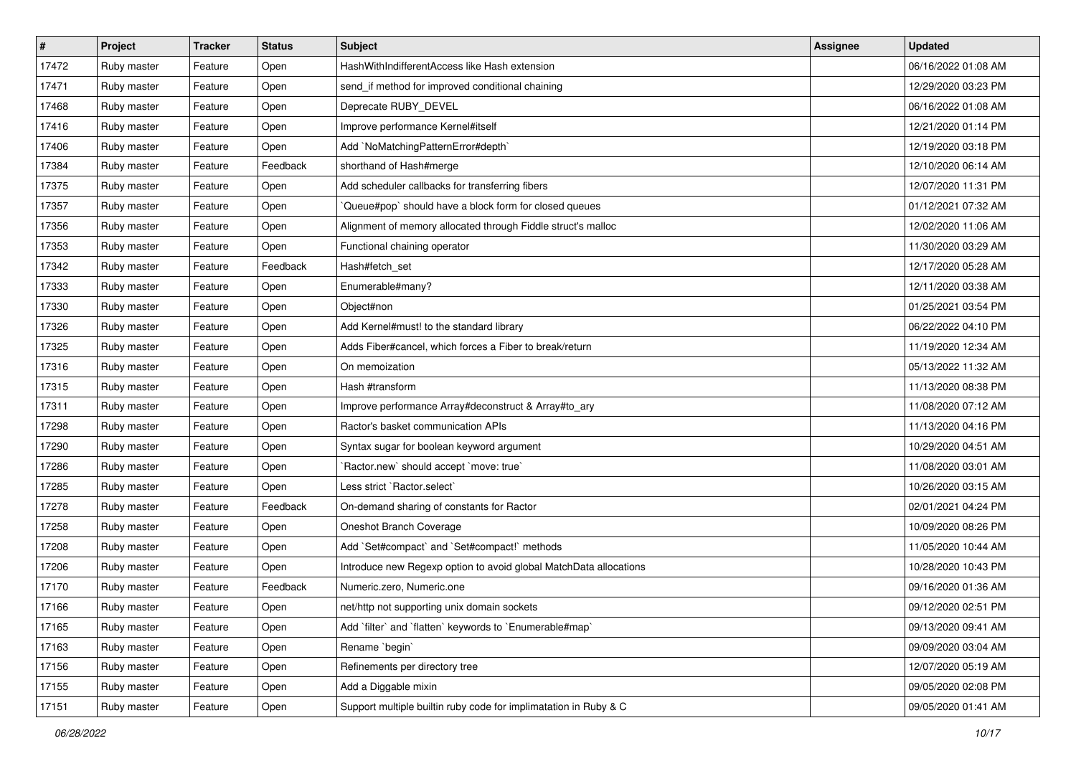| $\vert$ # | Project     | <b>Tracker</b> | <b>Status</b> | <b>Subject</b>                                                    | <b>Assignee</b> | <b>Updated</b>      |
|-----------|-------------|----------------|---------------|-------------------------------------------------------------------|-----------------|---------------------|
| 17472     | Ruby master | Feature        | Open          | HashWithIndifferentAccess like Hash extension                     |                 | 06/16/2022 01:08 AM |
| 17471     | Ruby master | Feature        | Open          | send_if method for improved conditional chaining                  |                 | 12/29/2020 03:23 PM |
| 17468     | Ruby master | Feature        | Open          | Deprecate RUBY_DEVEL                                              |                 | 06/16/2022 01:08 AM |
| 17416     | Ruby master | Feature        | Open          | Improve performance Kernel#itself                                 |                 | 12/21/2020 01:14 PM |
| 17406     | Ruby master | Feature        | Open          | Add `NoMatchingPatternError#depth`                                |                 | 12/19/2020 03:18 PM |
| 17384     | Ruby master | Feature        | Feedback      | shorthand of Hash#merge                                           |                 | 12/10/2020 06:14 AM |
| 17375     | Ruby master | Feature        | Open          | Add scheduler callbacks for transferring fibers                   |                 | 12/07/2020 11:31 PM |
| 17357     | Ruby master | Feature        | Open          | Queue#pop`should have a block form for closed queues              |                 | 01/12/2021 07:32 AM |
| 17356     | Ruby master | Feature        | Open          | Alignment of memory allocated through Fiddle struct's malloc      |                 | 12/02/2020 11:06 AM |
| 17353     | Ruby master | Feature        | Open          | Functional chaining operator                                      |                 | 11/30/2020 03:29 AM |
| 17342     | Ruby master | Feature        | Feedback      | Hash#fetch set                                                    |                 | 12/17/2020 05:28 AM |
| 17333     | Ruby master | Feature        | Open          | Enumerable#many?                                                  |                 | 12/11/2020 03:38 AM |
| 17330     | Ruby master | Feature        | Open          | Object#non                                                        |                 | 01/25/2021 03:54 PM |
| 17326     | Ruby master | Feature        | Open          | Add Kernel#must! to the standard library                          |                 | 06/22/2022 04:10 PM |
| 17325     | Ruby master | Feature        | Open          | Adds Fiber#cancel, which forces a Fiber to break/return           |                 | 11/19/2020 12:34 AM |
| 17316     | Ruby master | Feature        | Open          | On memoization                                                    |                 | 05/13/2022 11:32 AM |
| 17315     | Ruby master | Feature        | Open          | Hash #transform                                                   |                 | 11/13/2020 08:38 PM |
| 17311     | Ruby master | Feature        | Open          | Improve performance Array#deconstruct & Array#to_ary              |                 | 11/08/2020 07:12 AM |
| 17298     | Ruby master | Feature        | Open          | Ractor's basket communication APIs                                |                 | 11/13/2020 04:16 PM |
| 17290     | Ruby master | Feature        | Open          | Syntax sugar for boolean keyword argument                         |                 | 10/29/2020 04:51 AM |
| 17286     | Ruby master | Feature        | Open          | Ractor.new' should accept 'move: true'                            |                 | 11/08/2020 03:01 AM |
| 17285     | Ruby master | Feature        | Open          | Less strict `Ractor.select`                                       |                 | 10/26/2020 03:15 AM |
| 17278     | Ruby master | Feature        | Feedback      | On-demand sharing of constants for Ractor                         |                 | 02/01/2021 04:24 PM |
| 17258     | Ruby master | Feature        | Open          | Oneshot Branch Coverage                                           |                 | 10/09/2020 08:26 PM |
| 17208     | Ruby master | Feature        | Open          | Add `Set#compact` and `Set#compact!` methods                      |                 | 11/05/2020 10:44 AM |
| 17206     | Ruby master | Feature        | Open          | Introduce new Regexp option to avoid global MatchData allocations |                 | 10/28/2020 10:43 PM |
| 17170     | Ruby master | Feature        | Feedback      | Numeric.zero, Numeric.one                                         |                 | 09/16/2020 01:36 AM |
| 17166     | Ruby master | Feature        | Open          | net/http not supporting unix domain sockets                       |                 | 09/12/2020 02:51 PM |
| 17165     | Ruby master | Feature        | Open          | Add `filter` and `flatten` keywords to `Enumerable#map`           |                 | 09/13/2020 09:41 AM |
| 17163     | Ruby master | Feature        | Open          | Rename `begin`                                                    |                 | 09/09/2020 03:04 AM |
| 17156     | Ruby master | Feature        | Open          | Refinements per directory tree                                    |                 | 12/07/2020 05:19 AM |
| 17155     | Ruby master | Feature        | Open          | Add a Diggable mixin                                              |                 | 09/05/2020 02:08 PM |
| 17151     | Ruby master | Feature        | Open          | Support multiple builtin ruby code for implimatation in Ruby & C  |                 | 09/05/2020 01:41 AM |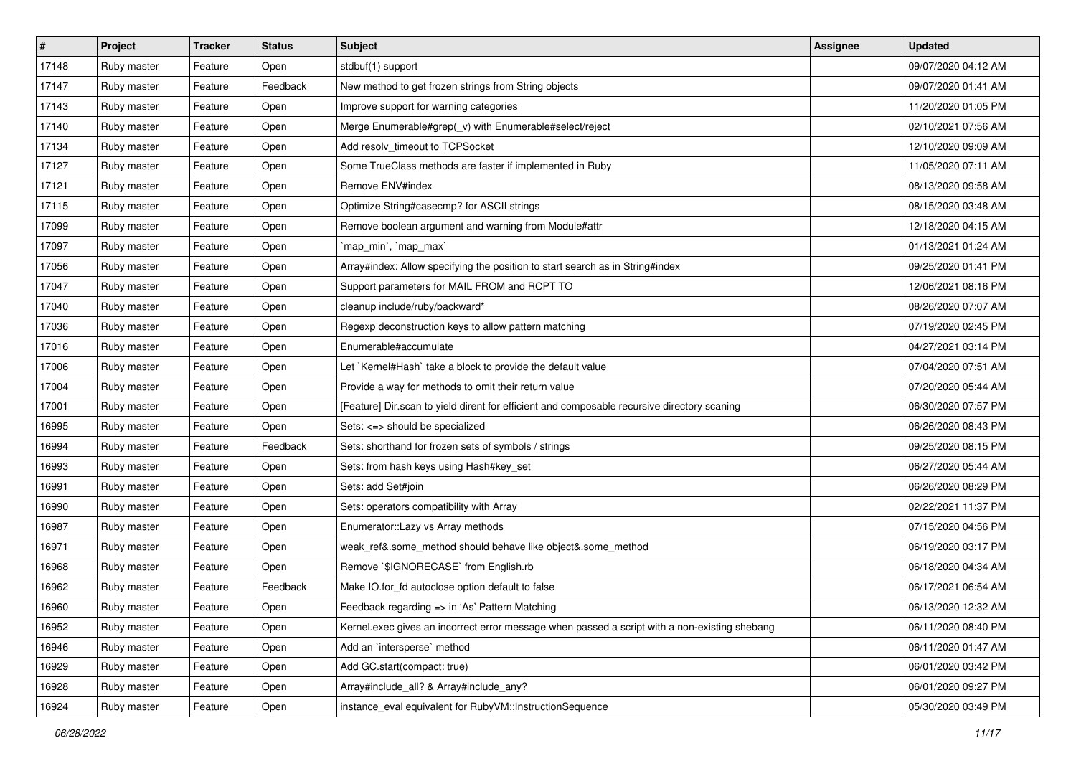| $\sharp$ | <b>Project</b> | <b>Tracker</b> | <b>Status</b> | <b>Subject</b>                                                                                | <b>Assignee</b> | <b>Updated</b>      |
|----------|----------------|----------------|---------------|-----------------------------------------------------------------------------------------------|-----------------|---------------------|
| 17148    | Ruby master    | Feature        | Open          | stdbuf(1) support                                                                             |                 | 09/07/2020 04:12 AM |
| 17147    | Ruby master    | Feature        | Feedback      | New method to get frozen strings from String objects                                          |                 | 09/07/2020 01:41 AM |
| 17143    | Ruby master    | Feature        | Open          | Improve support for warning categories                                                        |                 | 11/20/2020 01:05 PM |
| 17140    | Ruby master    | Feature        | Open          | Merge Enumerable#grep(_v) with Enumerable#select/reject                                       |                 | 02/10/2021 07:56 AM |
| 17134    | Ruby master    | Feature        | Open          | Add resolv_timeout to TCPSocket                                                               |                 | 12/10/2020 09:09 AM |
| 17127    | Ruby master    | Feature        | Open          | Some TrueClass methods are faster if implemented in Ruby                                      |                 | 11/05/2020 07:11 AM |
| 17121    | Ruby master    | Feature        | Open          | Remove ENV#index                                                                              |                 | 08/13/2020 09:58 AM |
| 17115    | Ruby master    | Feature        | Open          | Optimize String#casecmp? for ASCII strings                                                    |                 | 08/15/2020 03:48 AM |
| 17099    | Ruby master    | Feature        | Open          | Remove boolean argument and warning from Module#attr                                          |                 | 12/18/2020 04:15 AM |
| 17097    | Ruby master    | Feature        | Open          | `map_min`, `map_max`                                                                          |                 | 01/13/2021 01:24 AM |
| 17056    | Ruby master    | Feature        | Open          | Array#index: Allow specifying the position to start search as in String#index                 |                 | 09/25/2020 01:41 PM |
| 17047    | Ruby master    | Feature        | Open          | Support parameters for MAIL FROM and RCPT TO                                                  |                 | 12/06/2021 08:16 PM |
| 17040    | Ruby master    | Feature        | Open          | cleanup include/ruby/backward*                                                                |                 | 08/26/2020 07:07 AM |
| 17036    | Ruby master    | Feature        | Open          | Regexp deconstruction keys to allow pattern matching                                          |                 | 07/19/2020 02:45 PM |
| 17016    | Ruby master    | Feature        | Open          | Enumerable#accumulate                                                                         |                 | 04/27/2021 03:14 PM |
| 17006    | Ruby master    | Feature        | Open          | Let `Kernel#Hash` take a block to provide the default value                                   |                 | 07/04/2020 07:51 AM |
| 17004    | Ruby master    | Feature        | Open          | Provide a way for methods to omit their return value                                          |                 | 07/20/2020 05:44 AM |
| 17001    | Ruby master    | Feature        | Open          | [Feature] Dir.scan to yield dirent for efficient and composable recursive directory scaning   |                 | 06/30/2020 07:57 PM |
| 16995    | Ruby master    | Feature        | Open          | Sets: <=> should be specialized                                                               |                 | 06/26/2020 08:43 PM |
| 16994    | Ruby master    | Feature        | Feedback      | Sets: shorthand for frozen sets of symbols / strings                                          |                 | 09/25/2020 08:15 PM |
| 16993    | Ruby master    | Feature        | Open          | Sets: from hash keys using Hash#key_set                                                       |                 | 06/27/2020 05:44 AM |
| 16991    | Ruby master    | Feature        | Open          | Sets: add Set#join                                                                            |                 | 06/26/2020 08:29 PM |
| 16990    | Ruby master    | Feature        | Open          | Sets: operators compatibility with Array                                                      |                 | 02/22/2021 11:37 PM |
| 16987    | Ruby master    | Feature        | Open          | Enumerator:: Lazy vs Array methods                                                            |                 | 07/15/2020 04:56 PM |
| 16971    | Ruby master    | Feature        | Open          | weak_ref&.some_method should behave like object&.some_method                                  |                 | 06/19/2020 03:17 PM |
| 16968    | Ruby master    | Feature        | Open          | Remove `\$IGNORECASE` from English.rb                                                         |                 | 06/18/2020 04:34 AM |
| 16962    | Ruby master    | Feature        | Feedback      | Make IO.for_fd autoclose option default to false                                              |                 | 06/17/2021 06:54 AM |
| 16960    | Ruby master    | Feature        | Open          | Feedback regarding => in 'As' Pattern Matching                                                |                 | 06/13/2020 12:32 AM |
| 16952    | Ruby master    | Feature        | Open          | Kernel exec gives an incorrect error message when passed a script with a non-existing shebang |                 | 06/11/2020 08:40 PM |
| 16946    | Ruby master    | Feature        | Open          | Add an 'intersperse' method                                                                   |                 | 06/11/2020 01:47 AM |
| 16929    | Ruby master    | Feature        | Open          | Add GC.start(compact: true)                                                                   |                 | 06/01/2020 03:42 PM |
| 16928    | Ruby master    | Feature        | Open          | Array#include_all? & Array#include_any?                                                       |                 | 06/01/2020 09:27 PM |
| 16924    | Ruby master    | Feature        | Open          | instance_eval equivalent for RubyVM::InstructionSequence                                      |                 | 05/30/2020 03:49 PM |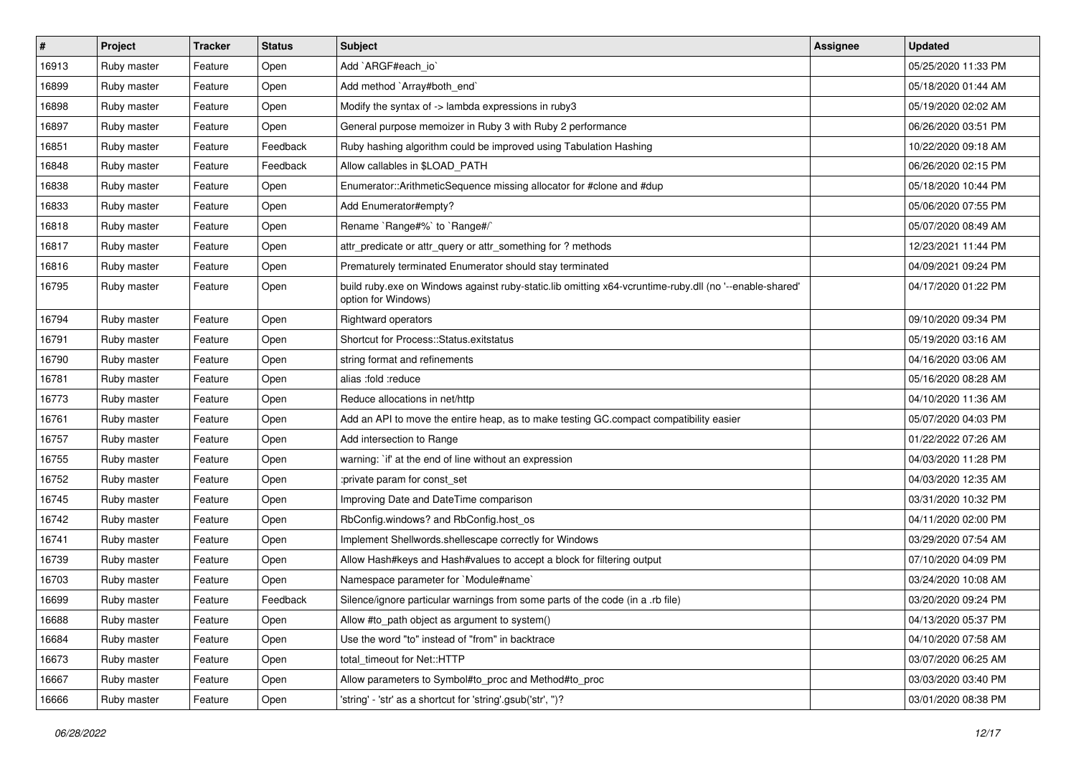| $\vert$ # | Project     | <b>Tracker</b> | <b>Status</b> | Subject                                                                                                                        | <b>Assignee</b> | <b>Updated</b>      |
|-----------|-------------|----------------|---------------|--------------------------------------------------------------------------------------------------------------------------------|-----------------|---------------------|
| 16913     | Ruby master | Feature        | Open          | Add `ARGF#each_io`                                                                                                             |                 | 05/25/2020 11:33 PM |
| 16899     | Ruby master | Feature        | Open          | Add method `Array#both_end`                                                                                                    |                 | 05/18/2020 01:44 AM |
| 16898     | Ruby master | Feature        | Open          | Modify the syntax of -> lambda expressions in ruby3                                                                            |                 | 05/19/2020 02:02 AM |
| 16897     | Ruby master | Feature        | Open          | General purpose memoizer in Ruby 3 with Ruby 2 performance                                                                     |                 | 06/26/2020 03:51 PM |
| 16851     | Ruby master | Feature        | Feedback      | Ruby hashing algorithm could be improved using Tabulation Hashing                                                              |                 | 10/22/2020 09:18 AM |
| 16848     | Ruby master | Feature        | Feedback      | Allow callables in \$LOAD_PATH                                                                                                 |                 | 06/26/2020 02:15 PM |
| 16838     | Ruby master | Feature        | Open          | Enumerator::ArithmeticSequence missing allocator for #clone and #dup                                                           |                 | 05/18/2020 10:44 PM |
| 16833     | Ruby master | Feature        | Open          | Add Enumerator#empty?                                                                                                          |                 | 05/06/2020 07:55 PM |
| 16818     | Ruby master | Feature        | Open          | Rename `Range#%` to `Range#/`                                                                                                  |                 | 05/07/2020 08:49 AM |
| 16817     | Ruby master | Feature        | Open          | attr_predicate or attr_query or attr_something for ? methods                                                                   |                 | 12/23/2021 11:44 PM |
| 16816     | Ruby master | Feature        | Open          | Prematurely terminated Enumerator should stay terminated                                                                       |                 | 04/09/2021 09:24 PM |
| 16795     | Ruby master | Feature        | Open          | build ruby.exe on Windows against ruby-static.lib omitting x64-vcruntime-ruby.dll (no '--enable-shared'<br>option for Windows) |                 | 04/17/2020 01:22 PM |
| 16794     | Ruby master | Feature        | Open          | Rightward operators                                                                                                            |                 | 09/10/2020 09:34 PM |
| 16791     | Ruby master | Feature        | Open          | Shortcut for Process::Status.exitstatus                                                                                        |                 | 05/19/2020 03:16 AM |
| 16790     | Ruby master | Feature        | Open          | string format and refinements                                                                                                  |                 | 04/16/2020 03:06 AM |
| 16781     | Ruby master | Feature        | Open          | alias :fold :reduce                                                                                                            |                 | 05/16/2020 08:28 AM |
| 16773     | Ruby master | Feature        | Open          | Reduce allocations in net/http                                                                                                 |                 | 04/10/2020 11:36 AM |
| 16761     | Ruby master | Feature        | Open          | Add an API to move the entire heap, as to make testing GC.compact compatibility easier                                         |                 | 05/07/2020 04:03 PM |
| 16757     | Ruby master | Feature        | Open          | Add intersection to Range                                                                                                      |                 | 01/22/2022 07:26 AM |
| 16755     | Ruby master | Feature        | Open          | warning: `if' at the end of line without an expression                                                                         |                 | 04/03/2020 11:28 PM |
| 16752     | Ruby master | Feature        | Open          | :private param for const_set                                                                                                   |                 | 04/03/2020 12:35 AM |
| 16745     | Ruby master | Feature        | Open          | Improving Date and DateTime comparison                                                                                         |                 | 03/31/2020 10:32 PM |
| 16742     | Ruby master | Feature        | Open          | RbConfig.windows? and RbConfig.host_os                                                                                         |                 | 04/11/2020 02:00 PM |
| 16741     | Ruby master | Feature        | Open          | Implement Shellwords.shellescape correctly for Windows                                                                         |                 | 03/29/2020 07:54 AM |
| 16739     | Ruby master | Feature        | Open          | Allow Hash#keys and Hash#values to accept a block for filtering output                                                         |                 | 07/10/2020 04:09 PM |
| 16703     | Ruby master | Feature        | Open          | Namespace parameter for `Module#name`                                                                                          |                 | 03/24/2020 10:08 AM |
| 16699     | Ruby master | Feature        | Feedback      | Silence/ignore particular warnings from some parts of the code (in a .rb file)                                                 |                 | 03/20/2020 09:24 PM |
| 16688     | Ruby master | Feature        | Open          | Allow #to_path object as argument to system()                                                                                  |                 | 04/13/2020 05:37 PM |
| 16684     | Ruby master | Feature        | Open          | Use the word "to" instead of "from" in backtrace                                                                               |                 | 04/10/2020 07:58 AM |
| 16673     | Ruby master | Feature        | Open          | total_timeout for Net::HTTP                                                                                                    |                 | 03/07/2020 06:25 AM |
| 16667     | Ruby master | Feature        | Open          | Allow parameters to Symbol#to_proc and Method#to_proc                                                                          |                 | 03/03/2020 03:40 PM |
| 16666     | Ruby master | Feature        | Open          | 'string' - 'str' as a shortcut for 'string'.gsub('str', ")?                                                                    |                 | 03/01/2020 08:38 PM |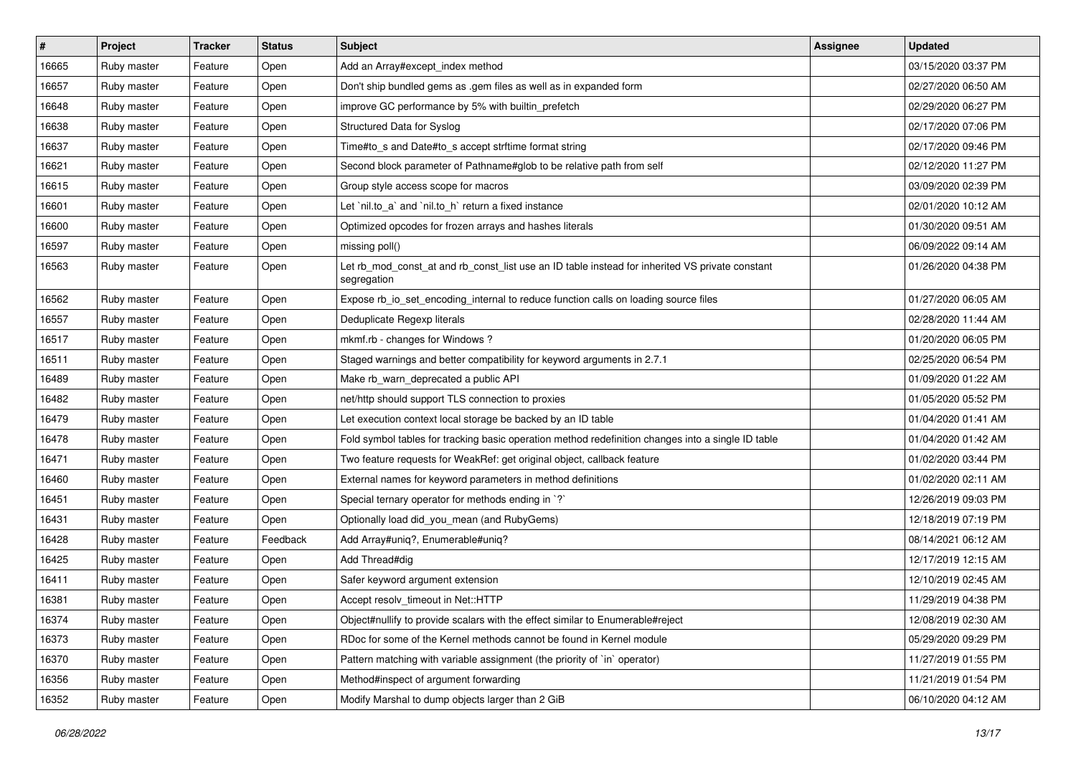| #     | Project     | <b>Tracker</b> | <b>Status</b> | Subject                                                                                                        | <b>Assignee</b> | <b>Updated</b>      |
|-------|-------------|----------------|---------------|----------------------------------------------------------------------------------------------------------------|-----------------|---------------------|
| 16665 | Ruby master | Feature        | Open          | Add an Array#except_index method                                                                               |                 | 03/15/2020 03:37 PM |
| 16657 | Ruby master | Feature        | Open          | Don't ship bundled gems as .gem files as well as in expanded form                                              |                 | 02/27/2020 06:50 AM |
| 16648 | Ruby master | Feature        | Open          | improve GC performance by 5% with builtin_prefetch                                                             |                 | 02/29/2020 06:27 PM |
| 16638 | Ruby master | Feature        | Open          | Structured Data for Syslog                                                                                     |                 | 02/17/2020 07:06 PM |
| 16637 | Ruby master | Feature        | Open          | Time#to_s and Date#to_s accept strftime format string                                                          |                 | 02/17/2020 09:46 PM |
| 16621 | Ruby master | Feature        | Open          | Second block parameter of Pathname#glob to be relative path from self                                          |                 | 02/12/2020 11:27 PM |
| 16615 | Ruby master | Feature        | Open          | Group style access scope for macros                                                                            |                 | 03/09/2020 02:39 PM |
| 16601 | Ruby master | Feature        | Open          | Let `nil.to_a` and `nil.to_h` return a fixed instance                                                          |                 | 02/01/2020 10:12 AM |
| 16600 | Ruby master | Feature        | Open          | Optimized opcodes for frozen arrays and hashes literals                                                        |                 | 01/30/2020 09:51 AM |
| 16597 | Ruby master | Feature        | Open          | missing poll()                                                                                                 |                 | 06/09/2022 09:14 AM |
| 16563 | Ruby master | Feature        | Open          | Let rb_mod_const_at and rb_const_list use an ID table instead for inherited VS private constant<br>segregation |                 | 01/26/2020 04:38 PM |
| 16562 | Ruby master | Feature        | Open          | Expose rb_io_set_encoding_internal to reduce function calls on loading source files                            |                 | 01/27/2020 06:05 AM |
| 16557 | Ruby master | Feature        | Open          | Deduplicate Regexp literals                                                                                    |                 | 02/28/2020 11:44 AM |
| 16517 | Ruby master | Feature        | Open          | mkmf.rb - changes for Windows?                                                                                 |                 | 01/20/2020 06:05 PM |
| 16511 | Ruby master | Feature        | Open          | Staged warnings and better compatibility for keyword arguments in 2.7.1                                        |                 | 02/25/2020 06:54 PM |
| 16489 | Ruby master | Feature        | Open          | Make rb_warn_deprecated a public API                                                                           |                 | 01/09/2020 01:22 AM |
| 16482 | Ruby master | Feature        | Open          | net/http should support TLS connection to proxies                                                              |                 | 01/05/2020 05:52 PM |
| 16479 | Ruby master | Feature        | Open          | Let execution context local storage be backed by an ID table                                                   |                 | 01/04/2020 01:41 AM |
| 16478 | Ruby master | Feature        | Open          | Fold symbol tables for tracking basic operation method redefinition changes into a single ID table             |                 | 01/04/2020 01:42 AM |
| 16471 | Ruby master | Feature        | Open          | Two feature requests for WeakRef: get original object, callback feature                                        |                 | 01/02/2020 03:44 PM |
| 16460 | Ruby master | Feature        | Open          | External names for keyword parameters in method definitions                                                    |                 | 01/02/2020 02:11 AM |
| 16451 | Ruby master | Feature        | Open          | Special ternary operator for methods ending in `?`                                                             |                 | 12/26/2019 09:03 PM |
| 16431 | Ruby master | Feature        | Open          | Optionally load did_you_mean (and RubyGems)                                                                    |                 | 12/18/2019 07:19 PM |
| 16428 | Ruby master | Feature        | Feedback      | Add Array#uniq?, Enumerable#uniq?                                                                              |                 | 08/14/2021 06:12 AM |
| 16425 | Ruby master | Feature        | Open          | Add Thread#dig                                                                                                 |                 | 12/17/2019 12:15 AM |
| 16411 | Ruby master | Feature        | Open          | Safer keyword argument extension                                                                               |                 | 12/10/2019 02:45 AM |
| 16381 | Ruby master | Feature        | Open          | Accept resolv timeout in Net::HTTP                                                                             |                 | 11/29/2019 04:38 PM |
| 16374 | Ruby master | Feature        | Open          | Object#nullify to provide scalars with the effect similar to Enumerable#reject                                 |                 | 12/08/2019 02:30 AM |
| 16373 | Ruby master | Feature        | Open          | RDoc for some of the Kernel methods cannot be found in Kernel module                                           |                 | 05/29/2020 09:29 PM |
| 16370 | Ruby master | Feature        | Open          | Pattern matching with variable assignment (the priority of `in` operator)                                      |                 | 11/27/2019 01:55 PM |
| 16356 | Ruby master | Feature        | Open          | Method#inspect of argument forwarding                                                                          |                 | 11/21/2019 01:54 PM |
| 16352 | Ruby master | Feature        | Open          | Modify Marshal to dump objects larger than 2 GiB                                                               |                 | 06/10/2020 04:12 AM |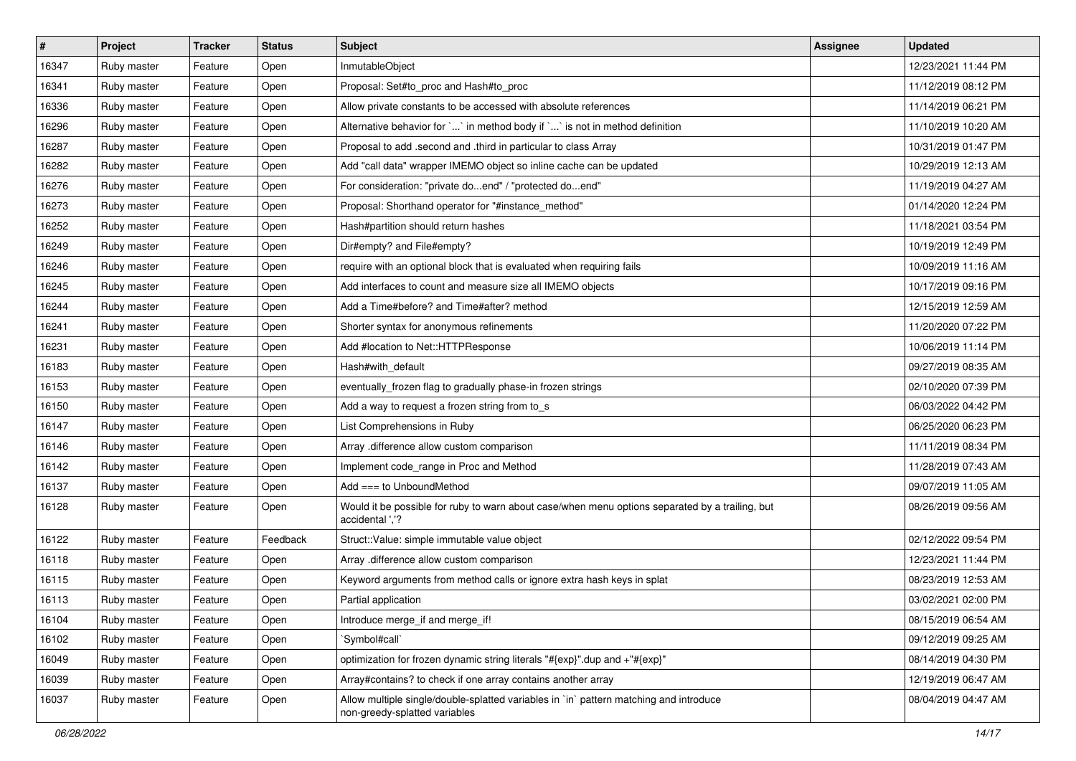| $\sharp$ | Project     | <b>Tracker</b> | <b>Status</b> | Subject                                                                                                                 | <b>Assignee</b> | <b>Updated</b>      |
|----------|-------------|----------------|---------------|-------------------------------------------------------------------------------------------------------------------------|-----------------|---------------------|
| 16347    | Ruby master | Feature        | Open          | InmutableObject                                                                                                         |                 | 12/23/2021 11:44 PM |
| 16341    | Ruby master | Feature        | Open          | Proposal: Set#to_proc and Hash#to_proc                                                                                  |                 | 11/12/2019 08:12 PM |
| 16336    | Ruby master | Feature        | Open          | Allow private constants to be accessed with absolute references                                                         |                 | 11/14/2019 06:21 PM |
| 16296    | Ruby master | Feature        | Open          | Alternative behavior for ` ` in method body if ` ` is not in method definition                                          |                 | 11/10/2019 10:20 AM |
| 16287    | Ruby master | Feature        | Open          | Proposal to add .second and .third in particular to class Array                                                         |                 | 10/31/2019 01:47 PM |
| 16282    | Ruby master | Feature        | Open          | Add "call data" wrapper IMEMO object so inline cache can be updated                                                     |                 | 10/29/2019 12:13 AM |
| 16276    | Ruby master | Feature        | Open          | For consideration: "private doend" / "protected doend"                                                                  |                 | 11/19/2019 04:27 AM |
| 16273    | Ruby master | Feature        | Open          | Proposal: Shorthand operator for "#instance_method"                                                                     |                 | 01/14/2020 12:24 PM |
| 16252    | Ruby master | Feature        | Open          | Hash#partition should return hashes                                                                                     |                 | 11/18/2021 03:54 PM |
| 16249    | Ruby master | Feature        | Open          | Dir#empty? and File#empty?                                                                                              |                 | 10/19/2019 12:49 PM |
| 16246    | Ruby master | Feature        | Open          | require with an optional block that is evaluated when requiring fails                                                   |                 | 10/09/2019 11:16 AM |
| 16245    | Ruby master | Feature        | Open          | Add interfaces to count and measure size all IMEMO objects                                                              |                 | 10/17/2019 09:16 PM |
| 16244    | Ruby master | Feature        | Open          | Add a Time#before? and Time#after? method                                                                               |                 | 12/15/2019 12:59 AM |
| 16241    | Ruby master | Feature        | Open          | Shorter syntax for anonymous refinements                                                                                |                 | 11/20/2020 07:22 PM |
| 16231    | Ruby master | Feature        | Open          | Add #location to Net::HTTPResponse                                                                                      |                 | 10/06/2019 11:14 PM |
| 16183    | Ruby master | Feature        | Open          | Hash#with_default                                                                                                       |                 | 09/27/2019 08:35 AM |
| 16153    | Ruby master | Feature        | Open          | eventually_frozen flag to gradually phase-in frozen strings                                                             |                 | 02/10/2020 07:39 PM |
| 16150    | Ruby master | Feature        | Open          | Add a way to request a frozen string from to_s                                                                          |                 | 06/03/2022 04:42 PM |
| 16147    | Ruby master | Feature        | Open          | List Comprehensions in Ruby                                                                                             |                 | 06/25/2020 06:23 PM |
| 16146    | Ruby master | Feature        | Open          | Array .difference allow custom comparison                                                                               |                 | 11/11/2019 08:34 PM |
| 16142    | Ruby master | Feature        | Open          | Implement code_range in Proc and Method                                                                                 |                 | 11/28/2019 07:43 AM |
| 16137    | Ruby master | Feature        | Open          | Add $==$ to UnboundMethod                                                                                               |                 | 09/07/2019 11:05 AM |
| 16128    | Ruby master | Feature        | Open          | Would it be possible for ruby to warn about case/when menu options separated by a trailing, but<br>accidental '.'?      |                 | 08/26/2019 09:56 AM |
| 16122    | Ruby master | Feature        | Feedback      | Struct::Value: simple immutable value object                                                                            |                 | 02/12/2022 09:54 PM |
| 16118    | Ruby master | Feature        | Open          | Array .difference allow custom comparison                                                                               |                 | 12/23/2021 11:44 PM |
| 16115    | Ruby master | Feature        | Open          | Keyword arguments from method calls or ignore extra hash keys in splat                                                  |                 | 08/23/2019 12:53 AM |
| 16113    | Ruby master | Feature        | Open          | Partial application                                                                                                     |                 | 03/02/2021 02:00 PM |
| 16104    | Ruby master | Feature        | Open          | Introduce merge_if and merge_if!                                                                                        |                 | 08/15/2019 06:54 AM |
| 16102    | Ruby master | Feature        | Open          | 'Symbol#call'                                                                                                           |                 | 09/12/2019 09:25 AM |
| 16049    | Ruby master | Feature        | Open          | optimization for frozen dynamic string literals "#{exp}".dup and +"#{exp}"                                              |                 | 08/14/2019 04:30 PM |
| 16039    | Ruby master | Feature        | Open          | Array#contains? to check if one array contains another array                                                            |                 | 12/19/2019 06:47 AM |
| 16037    | Ruby master | Feature        | Open          | Allow multiple single/double-splatted variables in `in` pattern matching and introduce<br>non-greedy-splatted variables |                 | 08/04/2019 04:47 AM |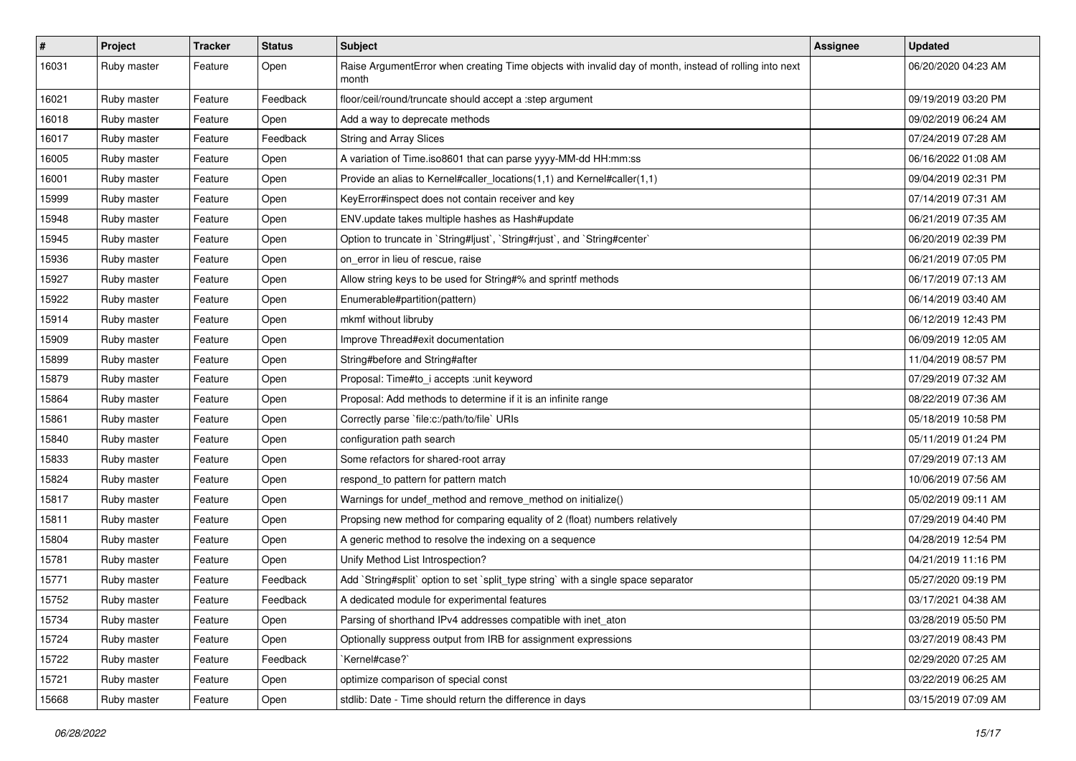| $\vert$ # | Project     | <b>Tracker</b> | <b>Status</b> | Subject                                                                                                         | <b>Assignee</b> | <b>Updated</b>      |
|-----------|-------------|----------------|---------------|-----------------------------------------------------------------------------------------------------------------|-----------------|---------------------|
| 16031     | Ruby master | Feature        | Open          | Raise ArgumentError when creating Time objects with invalid day of month, instead of rolling into next<br>month |                 | 06/20/2020 04:23 AM |
| 16021     | Ruby master | Feature        | Feedback      | floor/ceil/round/truncate should accept a :step argument                                                        |                 | 09/19/2019 03:20 PM |
| 16018     | Ruby master | Feature        | Open          | Add a way to deprecate methods                                                                                  |                 | 09/02/2019 06:24 AM |
| 16017     | Ruby master | Feature        | Feedback      | <b>String and Array Slices</b>                                                                                  |                 | 07/24/2019 07:28 AM |
| 16005     | Ruby master | Feature        | Open          | A variation of Time.iso8601 that can parse yyyy-MM-dd HH:mm:ss                                                  |                 | 06/16/2022 01:08 AM |
| 16001     | Ruby master | Feature        | Open          | Provide an alias to Kernel#caller_locations(1,1) and Kernel#caller(1,1)                                         |                 | 09/04/2019 02:31 PM |
| 15999     | Ruby master | Feature        | Open          | KeyError#inspect does not contain receiver and key                                                              |                 | 07/14/2019 07:31 AM |
| 15948     | Ruby master | Feature        | Open          | ENV.update takes multiple hashes as Hash#update                                                                 |                 | 06/21/2019 07:35 AM |
| 15945     | Ruby master | Feature        | Open          | Option to truncate in `String#ljust`, `String#rjust`, and `String#center`                                       |                 | 06/20/2019 02:39 PM |
| 15936     | Ruby master | Feature        | Open          | on error in lieu of rescue, raise                                                                               |                 | 06/21/2019 07:05 PM |
| 15927     | Ruby master | Feature        | Open          | Allow string keys to be used for String#% and sprintf methods                                                   |                 | 06/17/2019 07:13 AM |
| 15922     | Ruby master | Feature        | Open          | Enumerable#partition(pattern)                                                                                   |                 | 06/14/2019 03:40 AM |
| 15914     | Ruby master | Feature        | Open          | mkmf without libruby                                                                                            |                 | 06/12/2019 12:43 PM |
| 15909     | Ruby master | Feature        | Open          | Improve Thread#exit documentation                                                                               |                 | 06/09/2019 12:05 AM |
| 15899     | Ruby master | Feature        | Open          | String#before and String#after                                                                                  |                 | 11/04/2019 08:57 PM |
| 15879     | Ruby master | Feature        | Open          | Proposal: Time#to_i accepts :unit keyword                                                                       |                 | 07/29/2019 07:32 AM |
| 15864     | Ruby master | Feature        | Open          | Proposal: Add methods to determine if it is an infinite range                                                   |                 | 08/22/2019 07:36 AM |
| 15861     | Ruby master | Feature        | Open          | Correctly parse `file:c:/path/to/file` URIs                                                                     |                 | 05/18/2019 10:58 PM |
| 15840     | Ruby master | Feature        | Open          | configuration path search                                                                                       |                 | 05/11/2019 01:24 PM |
| 15833     | Ruby master | Feature        | Open          | Some refactors for shared-root array                                                                            |                 | 07/29/2019 07:13 AM |
| 15824     | Ruby master | Feature        | Open          | respond_to pattern for pattern match                                                                            |                 | 10/06/2019 07:56 AM |
| 15817     | Ruby master | Feature        | Open          | Warnings for undef_method and remove_method on initialize()                                                     |                 | 05/02/2019 09:11 AM |
| 15811     | Ruby master | Feature        | Open          | Propsing new method for comparing equality of 2 (float) numbers relatively                                      |                 | 07/29/2019 04:40 PM |
| 15804     | Ruby master | Feature        | Open          | A generic method to resolve the indexing on a sequence                                                          |                 | 04/28/2019 12:54 PM |
| 15781     | Ruby master | Feature        | Open          | Unify Method List Introspection?                                                                                |                 | 04/21/2019 11:16 PM |
| 15771     | Ruby master | Feature        | Feedback      | Add `String#split` option to set `split_type string` with a single space separator                              |                 | 05/27/2020 09:19 PM |
| 15752     | Ruby master | Feature        | Feedback      | A dedicated module for experimental features                                                                    |                 | 03/17/2021 04:38 AM |
| 15734     | Ruby master | Feature        | Open          | Parsing of shorthand IPv4 addresses compatible with inet_aton                                                   |                 | 03/28/2019 05:50 PM |
| 15724     | Ruby master | Feature        | Open          | Optionally suppress output from IRB for assignment expressions                                                  |                 | 03/27/2019 08:43 PM |
| 15722     | Ruby master | Feature        | Feedback      | `Kernel#case?`                                                                                                  |                 | 02/29/2020 07:25 AM |
| 15721     | Ruby master | Feature        | Open          | optimize comparison of special const                                                                            |                 | 03/22/2019 06:25 AM |
| 15668     | Ruby master | Feature        | Open          | stdlib: Date - Time should return the difference in days                                                        |                 | 03/15/2019 07:09 AM |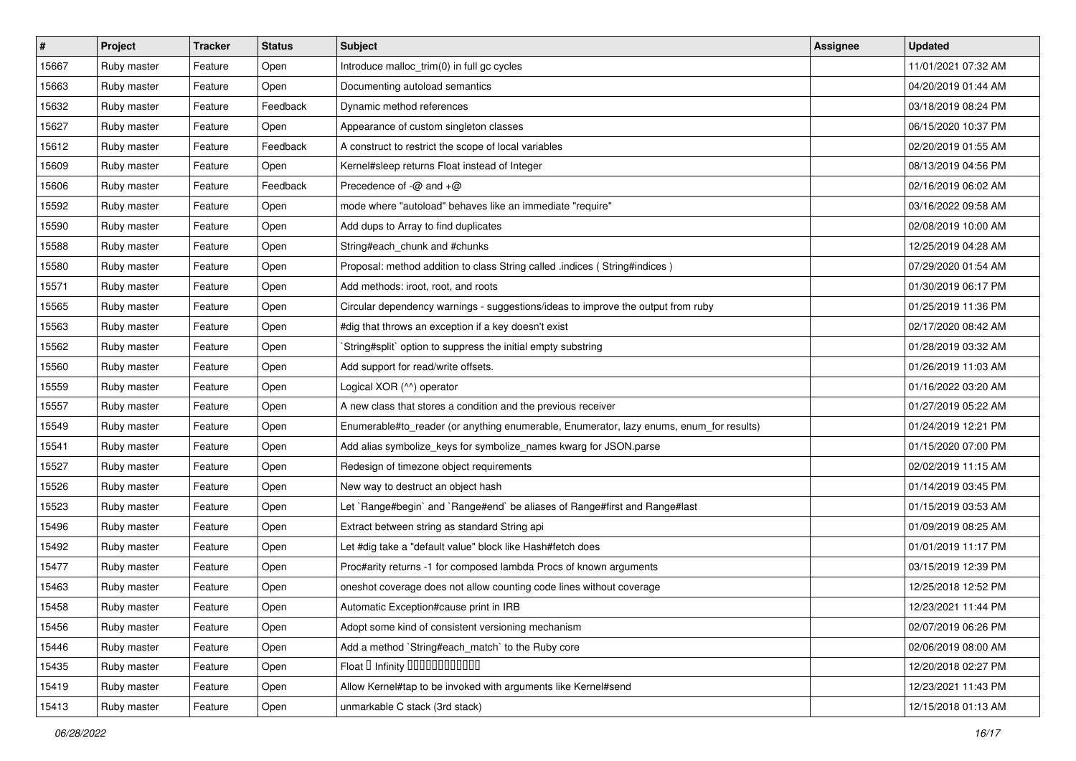| $\sharp$ | <b>Project</b> | <b>Tracker</b> | <b>Status</b> | <b>Subject</b>                                                                          | <b>Assignee</b> | <b>Updated</b>      |
|----------|----------------|----------------|---------------|-----------------------------------------------------------------------------------------|-----------------|---------------------|
| 15667    | Ruby master    | Feature        | Open          | Introduce malloc_trim(0) in full gc cycles                                              |                 | 11/01/2021 07:32 AM |
| 15663    | Ruby master    | Feature        | Open          | Documenting autoload semantics                                                          |                 | 04/20/2019 01:44 AM |
| 15632    | Ruby master    | Feature        | Feedback      | Dynamic method references                                                               |                 | 03/18/2019 08:24 PM |
| 15627    | Ruby master    | Feature        | Open          | Appearance of custom singleton classes                                                  |                 | 06/15/2020 10:37 PM |
| 15612    | Ruby master    | Feature        | Feedback      | A construct to restrict the scope of local variables                                    |                 | 02/20/2019 01:55 AM |
| 15609    | Ruby master    | Feature        | Open          | Kernel#sleep returns Float instead of Integer                                           |                 | 08/13/2019 04:56 PM |
| 15606    | Ruby master    | Feature        | Feedback      | Precedence of $-\omega$ and $+\omega$                                                   |                 | 02/16/2019 06:02 AM |
| 15592    | Ruby master    | Feature        | Open          | mode where "autoload" behaves like an immediate "require"                               |                 | 03/16/2022 09:58 AM |
| 15590    | Ruby master    | Feature        | Open          | Add dups to Array to find duplicates                                                    |                 | 02/08/2019 10:00 AM |
| 15588    | Ruby master    | Feature        | Open          | String#each_chunk and #chunks                                                           |                 | 12/25/2019 04:28 AM |
| 15580    | Ruby master    | Feature        | Open          | Proposal: method addition to class String called .indices (String#indices)              |                 | 07/29/2020 01:54 AM |
| 15571    | Ruby master    | Feature        | Open          | Add methods: iroot, root, and roots                                                     |                 | 01/30/2019 06:17 PM |
| 15565    | Ruby master    | Feature        | Open          | Circular dependency warnings - suggestions/ideas to improve the output from ruby        |                 | 01/25/2019 11:36 PM |
| 15563    | Ruby master    | Feature        | Open          | #dig that throws an exception if a key doesn't exist                                    |                 | 02/17/2020 08:42 AM |
| 15562    | Ruby master    | Feature        | Open          | String#split` option to suppress the initial empty substring                            |                 | 01/28/2019 03:32 AM |
| 15560    | Ruby master    | Feature        | Open          | Add support for read/write offsets.                                                     |                 | 01/26/2019 11:03 AM |
| 15559    | Ruby master    | Feature        | Open          | Logical XOR (^^) operator                                                               |                 | 01/16/2022 03:20 AM |
| 15557    | Ruby master    | Feature        | Open          | A new class that stores a condition and the previous receiver                           |                 | 01/27/2019 05:22 AM |
| 15549    | Ruby master    | Feature        | Open          | Enumerable#to_reader (or anything enumerable, Enumerator, lazy enums, enum_for results) |                 | 01/24/2019 12:21 PM |
| 15541    | Ruby master    | Feature        | Open          | Add alias symbolize_keys for symbolize_names kwarg for JSON.parse                       |                 | 01/15/2020 07:00 PM |
| 15527    | Ruby master    | Feature        | Open          | Redesign of timezone object requirements                                                |                 | 02/02/2019 11:15 AM |
| 15526    | Ruby master    | Feature        | Open          | New way to destruct an object hash                                                      |                 | 01/14/2019 03:45 PM |
| 15523    | Ruby master    | Feature        | Open          | Let `Range#begin` and `Range#end` be aliases of Range#first and Range#last              |                 | 01/15/2019 03:53 AM |
| 15496    | Ruby master    | Feature        | Open          | Extract between string as standard String api                                           |                 | 01/09/2019 08:25 AM |
| 15492    | Ruby master    | Feature        | Open          | Let #dig take a "default value" block like Hash#fetch does                              |                 | 01/01/2019 11:17 PM |
| 15477    | Ruby master    | Feature        | Open          | Proc#arity returns -1 for composed lambda Procs of known arguments                      |                 | 03/15/2019 12:39 PM |
| 15463    | Ruby master    | Feature        | Open          | oneshot coverage does not allow counting code lines without coverage                    |                 | 12/25/2018 12:52 PM |
| 15458    | Ruby master    | Feature        | Open          | Automatic Exception#cause print in IRB                                                  |                 | 12/23/2021 11:44 PM |
| 15456    | Ruby master    | Feature        | Open          | Adopt some kind of consistent versioning mechanism                                      |                 | 02/07/2019 06:26 PM |
| 15446    | Ruby master    | Feature        | Open          | Add a method `String#each match` to the Ruby core                                       |                 | 02/06/2019 08:00 AM |
| 15435    | Ruby master    | Feature        | Open          | Float I Infinity 00000000000                                                            |                 | 12/20/2018 02:27 PM |
| 15419    | Ruby master    | Feature        | Open          | Allow Kernel#tap to be invoked with arguments like Kernel#send                          |                 | 12/23/2021 11:43 PM |
| 15413    | Ruby master    | Feature        | Open          | unmarkable C stack (3rd stack)                                                          |                 | 12/15/2018 01:13 AM |